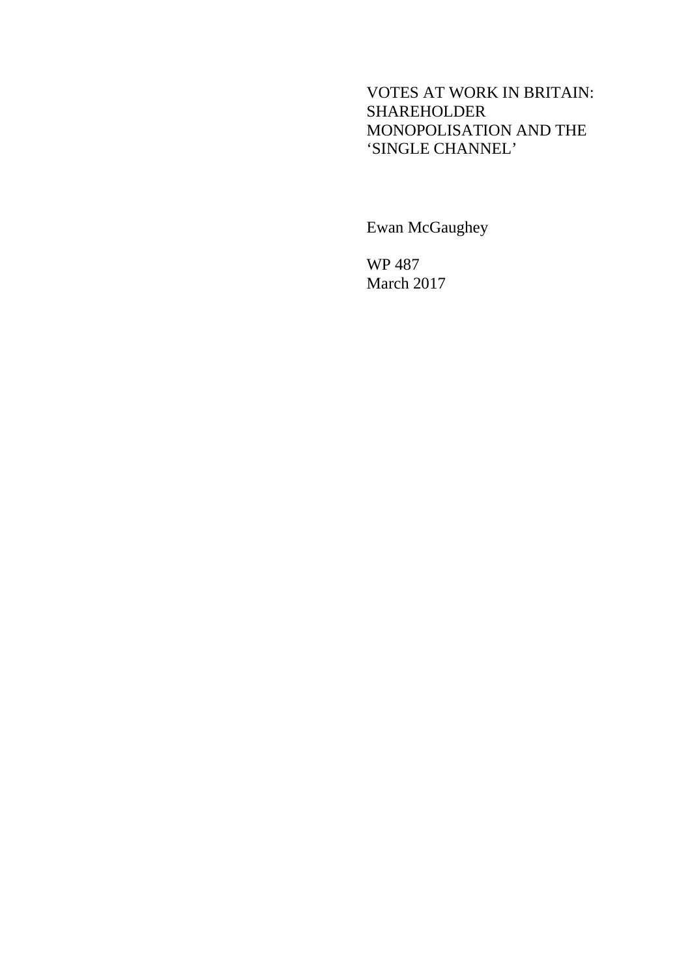## VOTES AT WORK IN BRITAIN: SHAREHOLDER MONOPOLISATION AND THE 'SINGLE CHANNEL'

Ewan McGaughey

WP 487 March 2017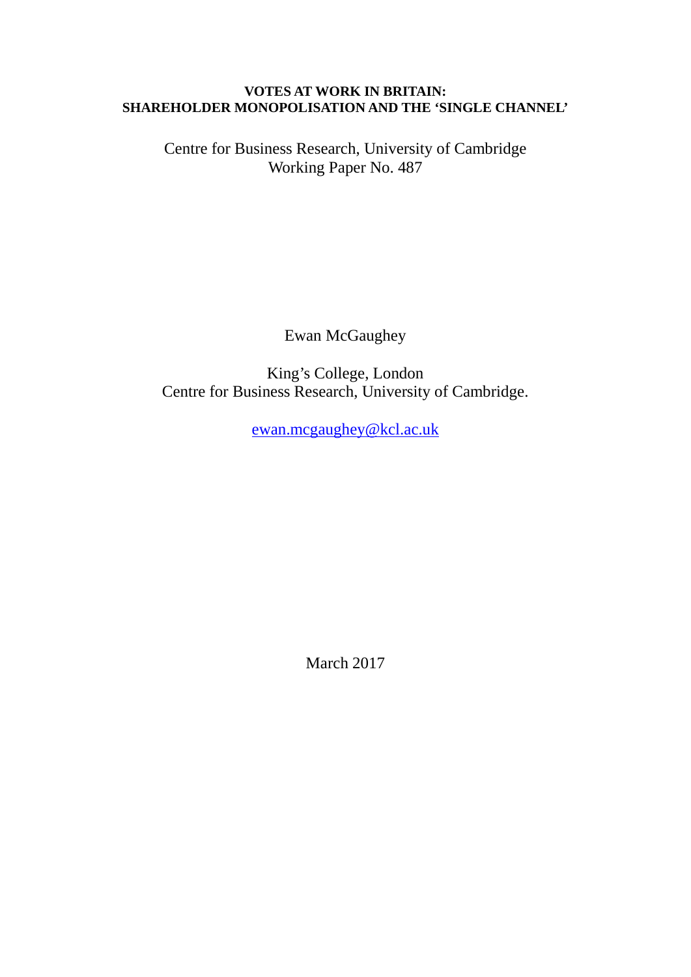#### **VOTES AT WORK IN BRITAIN: SHAREHOLDER MONOPOLISATION AND THE 'SINGLE CHANNEL'**

Centre for Business Research, University of Cambridge Working Paper No. 487

Ewan McGaughey

King's College, London Centre for Business Research, University of Cambridge.

[ewan.mcgaughey@kcl.ac.uk](mailto:l.e.mcgaughey@lse.ac.uk)

March 2017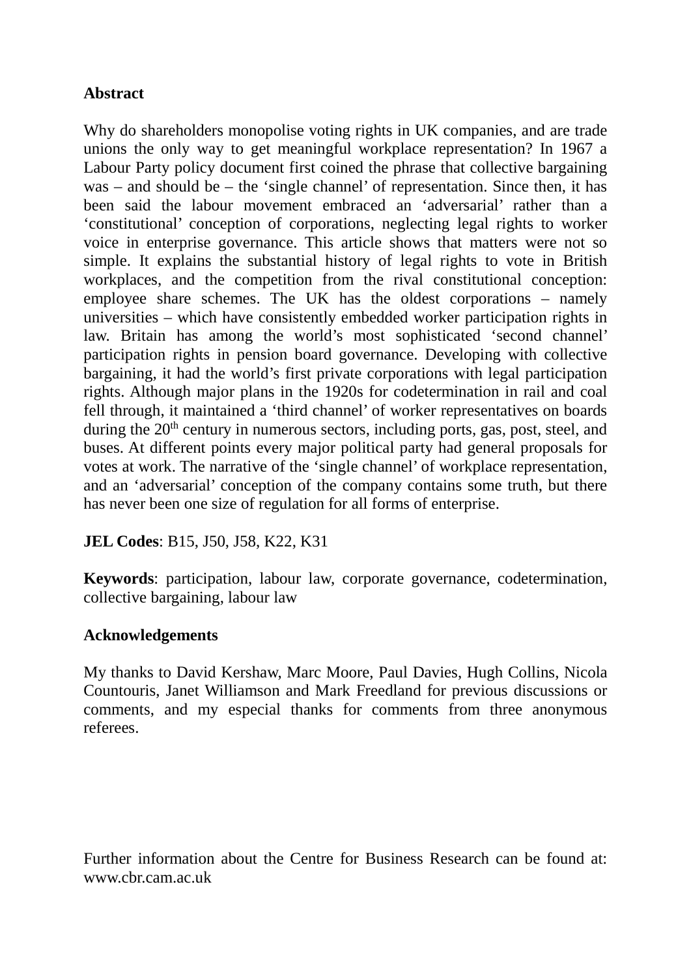## **Abstract**

Why do shareholders monopolise voting rights in UK companies, and are trade unions the only way to get meaningful workplace representation? In 1967 a Labour Party policy document first coined the phrase that collective bargaining was – and should be – the 'single channel' of representation. Since then, it has been said the labour movement embraced an 'adversarial' rather than a 'constitutional' conception of corporations, neglecting legal rights to worker voice in enterprise governance. This article shows that matters were not so simple. It explains the substantial history of legal rights to vote in British workplaces, and the competition from the rival constitutional conception: employee share schemes. The UK has the oldest corporations – namely universities – which have consistently embedded worker participation rights in law. Britain has among the world's most sophisticated 'second channel' participation rights in pension board governance. Developing with collective bargaining, it had the world's first private corporations with legal participation rights. Although major plans in the 1920s for codetermination in rail and coal fell through, it maintained a 'third channel' of worker representatives on boards during the  $20<sup>th</sup>$  century in numerous sectors, including ports, gas, post, steel, and buses. At different points every major political party had general proposals for votes at work. The narrative of the 'single channel' of workplace representation, and an 'adversarial' conception of the company contains some truth, but there has never been one size of regulation for all forms of enterprise.

## **JEL Codes**: B15, J50, J58, K22, K31

**Keywords**: participation, labour law, corporate governance, codetermination, collective bargaining, labour law

## **Acknowledgements**

My thanks to David Kershaw, Marc Moore, Paul Davies, Hugh Collins, Nicola Countouris, Janet Williamson and Mark Freedland for previous discussions or comments, and my especial thanks for comments from three anonymous referees.

Further information about the Centre for Business Research can be found at: www.cbr.cam.ac.uk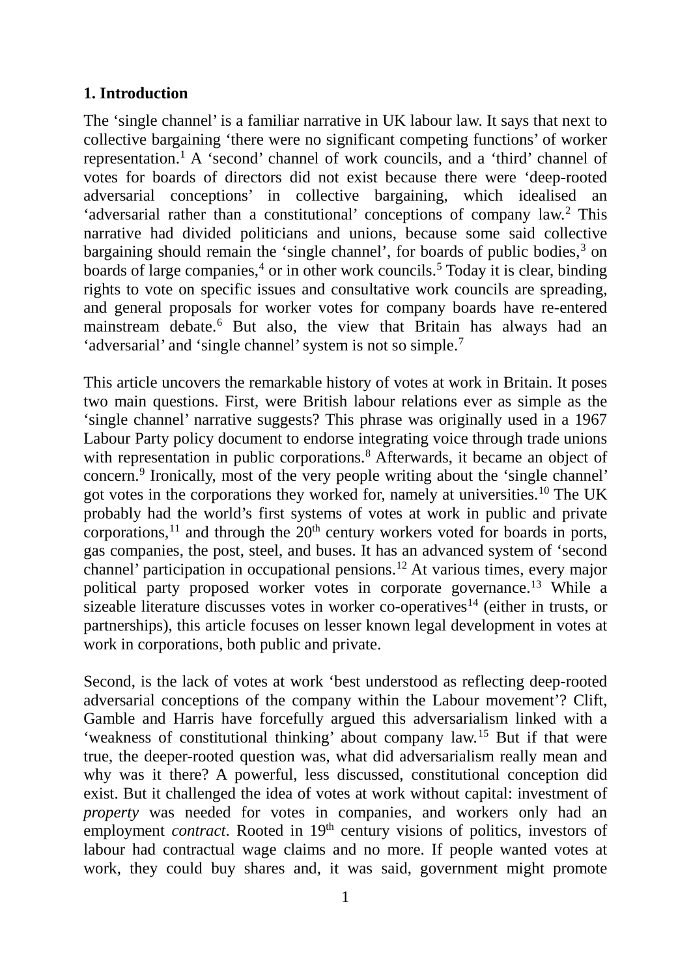## **1. Introduction**

The 'single channel' is a familiar narrative in UK labour law. It says that next to collective bargaining 'there were no significant competing functions' of worker representation.<sup>[1](#page-38-0)</sup> A 'second' channel of work councils, and a 'third' channel of votes for boards of directors did not exist because there were 'deep-rooted adversarial conceptions' in collective bargaining, which idealised an 'adversarial rather than a constitutional' conceptions of company law.[2](#page-38-1) This narrative had divided politicians and unions, because some said collective bargaining should remain the 'single channel', for boards of public bodies,<sup>[3](#page-38-2)</sup> on boards of large companies, $4$  or in other work councils.<sup>5</sup> Today it is clear, binding rights to vote on specific issues and consultative work councils are spreading, and general proposals for worker votes for company boards have re-entered mainstream debate.<sup>[6](#page-38-5)</sup> But also, the view that Britain has always had an 'adversarial' and 'single channel' system is not so simple.<sup>[7](#page-38-6)</sup>

This article uncovers the remarkable history of votes at work in Britain. It poses two main questions. First, were British labour relations ever as simple as the 'single channel' narrative suggests? This phrase was originally used in a 1967 Labour Party policy document to endorse integrating voice through trade unions with representation in public corporations.<sup>[8](#page-38-7)</sup> Afterwards, it became an object of concern.[9](#page-38-8) Ironically, most of the very people writing about the 'single channel' got votes in the corporations they worked for, namely at universities.10 The UK probably had the world's first systems of votes at work in public and private corporations,<sup>11</sup> and through the  $20<sup>th</sup>$  century workers voted for boards in ports, gas companies, the post, steel, and buses. It has an advanced system of 'second channel' participation in occupational pensions.12 At various times, every major political party proposed worker votes in corporate governance.13 While a sizeable literature discusses votes in worker co-operatives<sup>14</sup> (either in trusts, or partnerships), this article focuses on lesser known legal development in votes at work in corporations, both public and private.

Second, is the lack of votes at work 'best understood as reflecting deep-rooted adversarial conceptions of the company within the Labour movement'? Clift, Gamble and Harris have forcefully argued this adversarialism linked with a 'weakness of constitutional thinking' about company law.<sup>15</sup> But if that were true, the deeper-rooted question was, what did adversarialism really mean and why was it there? A powerful, less discussed, constitutional conception did exist. But it challenged the idea of votes at work without capital: investment of *property* was needed for votes in companies, and workers only had an employment *contract*. Rooted in 19<sup>th</sup> century visions of politics, investors of labour had contractual wage claims and no more. If people wanted votes at work, they could buy shares and, it was said, government might promote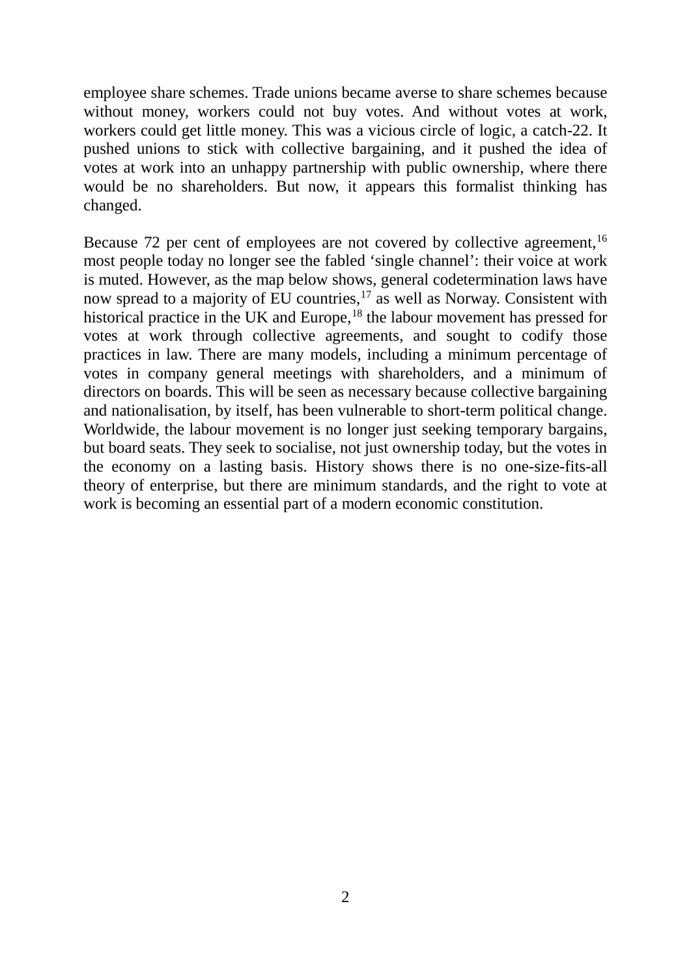employee share schemes. Trade unions became averse to share schemes because without money, workers could not buy votes. And without votes at work, workers could get little money. This was a vicious circle of logic, a catch-22. It pushed unions to stick with collective bargaining, and it pushed the idea of votes at work into an unhappy partnership with public ownership, where there would be no shareholders. But now, it appears this formalist thinking has changed.

Because 72 per cent of employees are not covered by collective agreement,<sup>16</sup> most people today no longer see the fabled 'single channel': their voice at work is muted. However, as the map below shows, general codetermination laws have now spread to a majority of  $\text{EU}$  countries,<sup>17</sup> as well as Norway. Consistent with historical practice in the UK and Europe,<sup>18</sup> the labour movement has pressed for votes at work through collective agreements, and sought to codify those practices in law. There are many models, including a minimum percentage of votes in company general meetings with shareholders, and a minimum of directors on boards. This will be seen as necessary because collective bargaining and nationalisation, by itself, has been vulnerable to short-term political change. Worldwide, the labour movement is no longer just seeking temporary bargains, but board seats. They seek to socialise, not just ownership today, but the votes in the economy on a lasting basis. History shows there is no one-size-fits-all theory of enterprise, but there are minimum standards, and the right to vote at work is becoming an essential part of a modern economic constitution.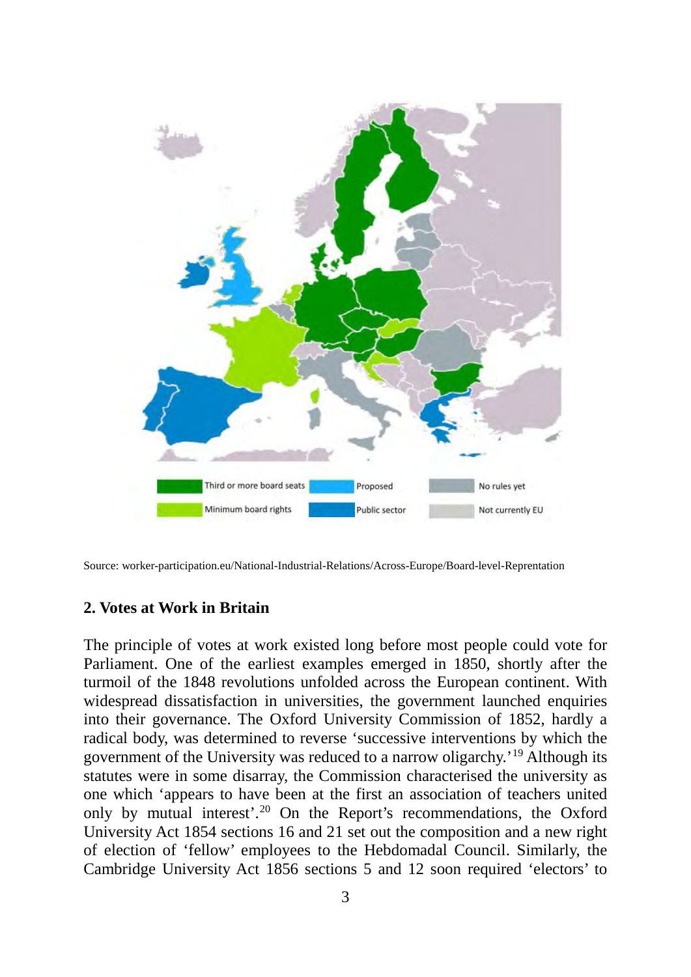

Source: worker-participation.eu/National-Industrial-Relations/Across-Europe/Board-level-Reprentation

#### **2. Votes at Work in Britain**

The principle of votes at work existed long before most people could vote for Parliament. One of the earliest examples emerged in 1850, shortly after the turmoil of the 1848 revolutions unfolded across the European continent. With widespread dissatisfaction in universities, the government launched enquiries into their governance. The Oxford University Commission of 1852, hardly a radical body, was determined to reverse 'successive interventions by which the government of the University was reduced to a narrow oligarchy.'19 Although its statutes were in some disarray, the Commission characterised the university as one which 'appears to have been at the first an association of teachers united only by mutual interest'.20 On the Report's recommendations, the Oxford University Act 1854 sections 16 and 21 set out the composition and a new right of election of 'fellow' employees to the Hebdomadal Council. Similarly, the Cambridge University Act 1856 sections 5 and 12 soon required 'electors' to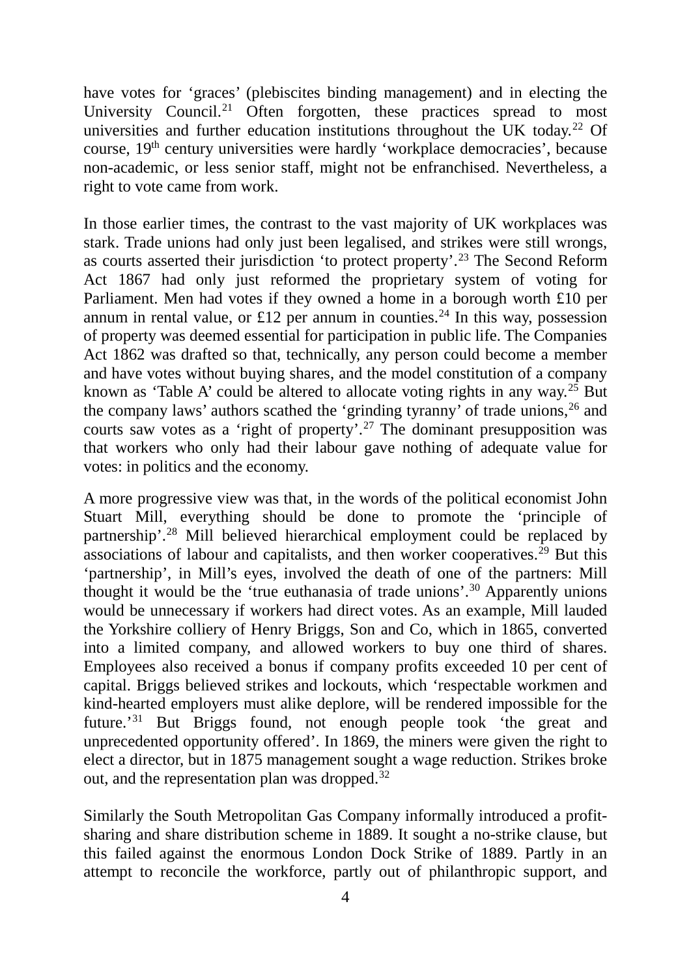have votes for 'graces' (plebiscites binding management) and in electing the University Council.<sup>21</sup> Often forgotten, these practices spread to most universities and further education institutions throughout the UK today.<sup>22</sup> Of course, 19th century universities were hardly 'workplace democracies', because non-academic, or less senior staff, might not be enfranchised. Nevertheless, a right to vote came from work.

In those earlier times, the contrast to the vast majority of UK workplaces was stark. Trade unions had only just been legalised, and strikes were still wrongs, as courts asserted their jurisdiction 'to protect property'.23 The Second Reform Act 1867 had only just reformed the proprietary system of voting for Parliament. Men had votes if they owned a home in a borough worth £10 per annum in rental value, or £12 per annum in counties.<sup>24</sup> In this way, possession of property was deemed essential for participation in public life. The Companies Act 1862 was drafted so that, technically, any person could become a member and have votes without buying shares, and the model constitution of a company known as 'Table A' could be altered to allocate voting rights in any way.<sup>25</sup> But the company laws' authors scathed the 'grinding tyranny' of trade unions,  $26$  and courts saw votes as a 'right of property'.27 The dominant presupposition was that workers who only had their labour gave nothing of adequate value for votes: in politics and the economy.

A more progressive view was that, in the words of the political economist John Stuart Mill, everything should be done to promote the 'principle of partnership'.28 Mill believed hierarchical employment could be replaced by associations of labour and capitalists, and then worker cooperatives.<sup>29</sup> But this 'partnership', in Mill's eyes, involved the death of one of the partners: Mill thought it would be the 'true euthanasia of trade unions'.<sup>30</sup> Apparently unions would be unnecessary if workers had direct votes. As an example, Mill lauded the Yorkshire colliery of Henry Briggs, Son and Co, which in 1865, converted into a limited company, and allowed workers to buy one third of shares. Employees also received a bonus if company profits exceeded 10 per cent of capital. Briggs believed strikes and lockouts, which 'respectable workmen and kind-hearted employers must alike deplore, will be rendered impossible for the future.'31 But Briggs found, not enough people took 'the great and unprecedented opportunity offered'. In 1869, the miners were given the right to elect a director, but in 1875 management sought a wage reduction. Strikes broke out, and the representation plan was dropped.32

Similarly the South Metropolitan Gas Company informally introduced a profitsharing and share distribution scheme in 1889. It sought a no-strike clause, but this failed against the enormous London Dock Strike of 1889. Partly in an attempt to reconcile the workforce, partly out of philanthropic support, and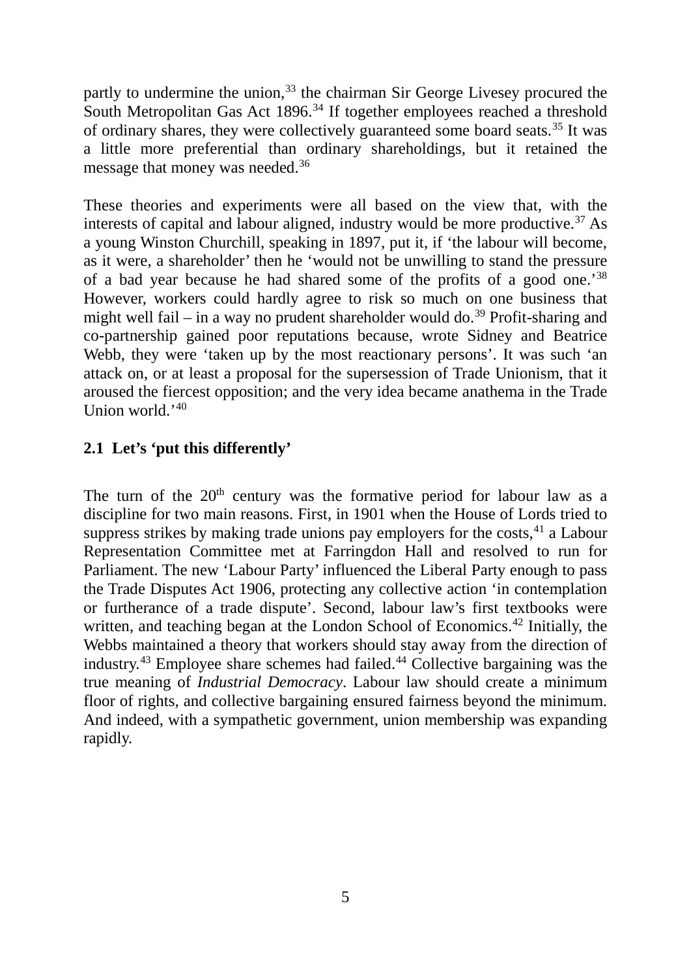partly to undermine the union,<sup>33</sup> the chairman Sir George Livesey procured the South Metropolitan Gas Act 1896.<sup>34</sup> If together employees reached a threshold of ordinary shares, they were collectively guaranteed some board seats.<sup>35</sup> It was a little more preferential than ordinary shareholdings, but it retained the message that money was needed.<sup>36</sup>

These theories and experiments were all based on the view that, with the interests of capital and labour aligned, industry would be more productive.<sup>37</sup> As a young Winston Churchill, speaking in 1897, put it, if 'the labour will become, as it were, a shareholder' then he 'would not be unwilling to stand the pressure of a bad year because he had shared some of the profits of a good one.'38 However, workers could hardly agree to risk so much on one business that might well fail – in a way no prudent shareholder would do.<sup>39</sup> Profit-sharing and co-partnership gained poor reputations because, wrote Sidney and Beatrice Webb, they were 'taken up by the most reactionary persons'. It was such 'an attack on, or at least a proposal for the supersession of Trade Unionism, that it aroused the fiercest opposition; and the very idea became anathema in the Trade Union world.'40

## **2.1 Let's 'put this differently'**

The turn of the  $20<sup>th</sup>$  century was the formative period for labour law as a discipline for two main reasons. First, in 1901 when the House of Lords tried to suppress strikes by making trade unions pay employers for the costs,  $41$  a Labour Representation Committee met at Farringdon Hall and resolved to run for Parliament. The new 'Labour Party' influenced the Liberal Party enough to pass the Trade Disputes Act 1906, protecting any collective action 'in contemplation or furtherance of a trade dispute'. Second, labour law's first textbooks were written, and teaching began at the London School of Economics.<sup>42</sup> Initially, the Webbs maintained a theory that workers should stay away from the direction of industry.43 Employee share schemes had failed.44 Collective bargaining was the true meaning of *Industrial Democracy*. Labour law should create a minimum floor of rights, and collective bargaining ensured fairness beyond the minimum. And indeed, with a sympathetic government, union membership was expanding rapidly.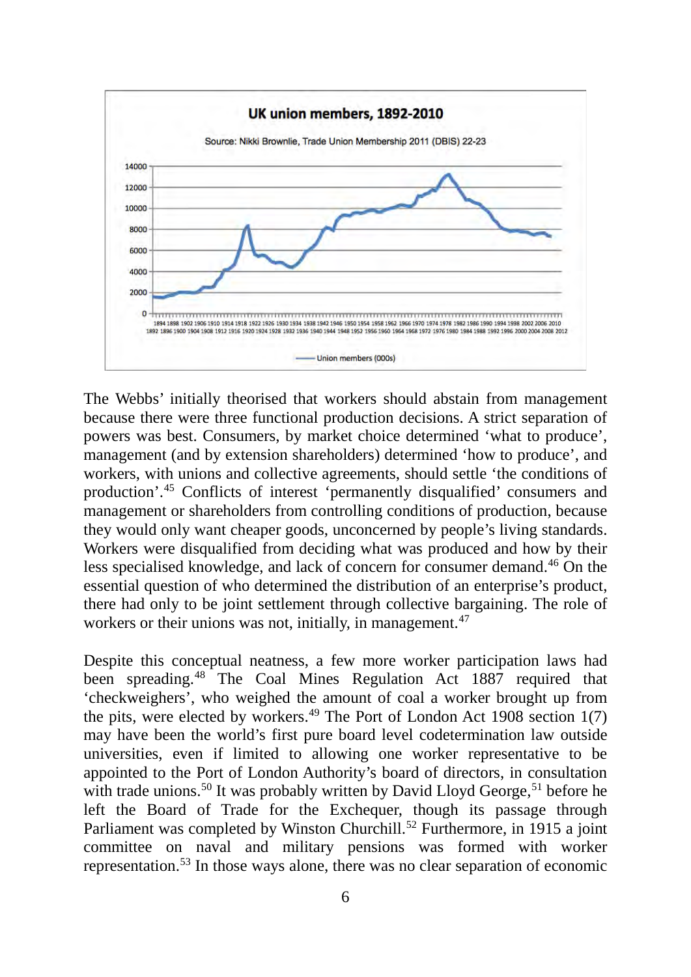

The Webbs' initially theorised that workers should abstain from management because there were three functional production decisions. A strict separation of powers was best. Consumers, by market choice determined 'what to produce', management (and by extension shareholders) determined 'how to produce', and workers, with unions and collective agreements, should settle 'the conditions of production'.45 Conflicts of interest 'permanently disqualified' consumers and management or shareholders from controlling conditions of production, because they would only want cheaper goods, unconcerned by people's living standards. Workers were disqualified from deciding what was produced and how by their less specialised knowledge, and lack of concern for consumer demand.46 On the essential question of who determined the distribution of an enterprise's product, there had only to be joint settlement through collective bargaining. The role of workers or their unions was not, initially, in management.<sup>47</sup>

Despite this conceptual neatness, a few more worker participation laws had been spreading.48 The Coal Mines Regulation Act 1887 required that 'checkweighers', who weighed the amount of coal a worker brought up from the pits, were elected by workers.<sup>49</sup> The Port of London Act 1908 section  $1(7)$ may have been the world's first pure board level codetermination law outside universities, even if limited to allowing one worker representative to be appointed to the Port of London Authority's board of directors, in consultation with trade unions.<sup>50</sup> It was probably written by David Lloyd George,<sup>51</sup> before he left the Board of Trade for the Exchequer, though its passage through Parliament was completed by Winston Churchill.<sup>52</sup> Furthermore, in 1915 a joint committee on naval and military pensions was formed with worker representation.53 In those ways alone, there was no clear separation of economic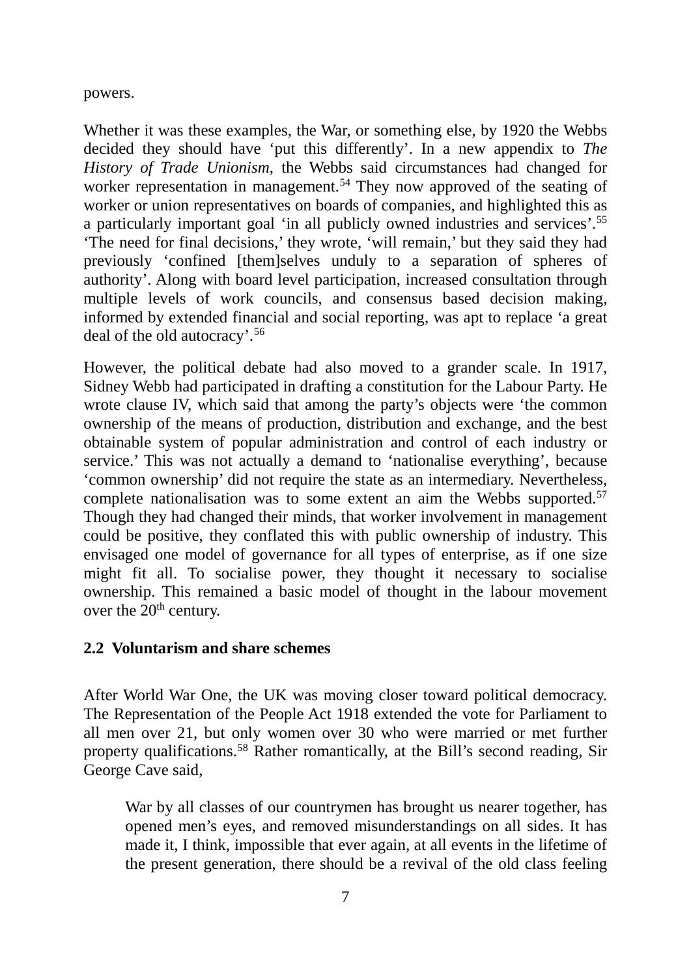powers.

Whether it was these examples, the War, or something else, by 1920 the Webbs decided they should have 'put this differently'. In a new appendix to *The History of Trade Unionism*, the Webbs said circumstances had changed for worker representation in management.<sup>54</sup> They now approved of the seating of worker or union representatives on boards of companies, and highlighted this as a particularly important goal 'in all publicly owned industries and services'.55 'The need for final decisions,' they wrote, 'will remain,' but they said they had previously 'confined [them]selves unduly to a separation of spheres of authority'. Along with board level participation, increased consultation through multiple levels of work councils, and consensus based decision making, informed by extended financial and social reporting, was apt to replace 'a great deal of the old autocracy'.56

However, the political debate had also moved to a grander scale. In 1917, Sidney Webb had participated in drafting a constitution for the Labour Party. He wrote clause IV, which said that among the party's objects were 'the common ownership of the means of production, distribution and exchange, and the best obtainable system of popular administration and control of each industry or service.' This was not actually a demand to 'nationalise everything', because 'common ownership' did not require the state as an intermediary. Nevertheless, complete nationalisation was to some extent an aim the Webbs supported.<sup>57</sup> Though they had changed their minds, that worker involvement in management could be positive, they conflated this with public ownership of industry. This envisaged one model of governance for all types of enterprise, as if one size might fit all. To socialise power, they thought it necessary to socialise ownership. This remained a basic model of thought in the labour movement over the  $20<sup>th</sup>$  century.

## **2.2 Voluntarism and share schemes**

After World War One, the UK was moving closer toward political democracy. The Representation of the People Act 1918 extended the vote for Parliament to all men over 21, but only women over 30 who were married or met further property qualifications.58 Rather romantically, at the Bill's second reading, Sir George Cave said,

War by all classes of our countrymen has brought us nearer together, has opened men's eyes, and removed misunderstandings on all sides. It has made it, I think, impossible that ever again, at all events in the lifetime of the present generation, there should be a revival of the old class feeling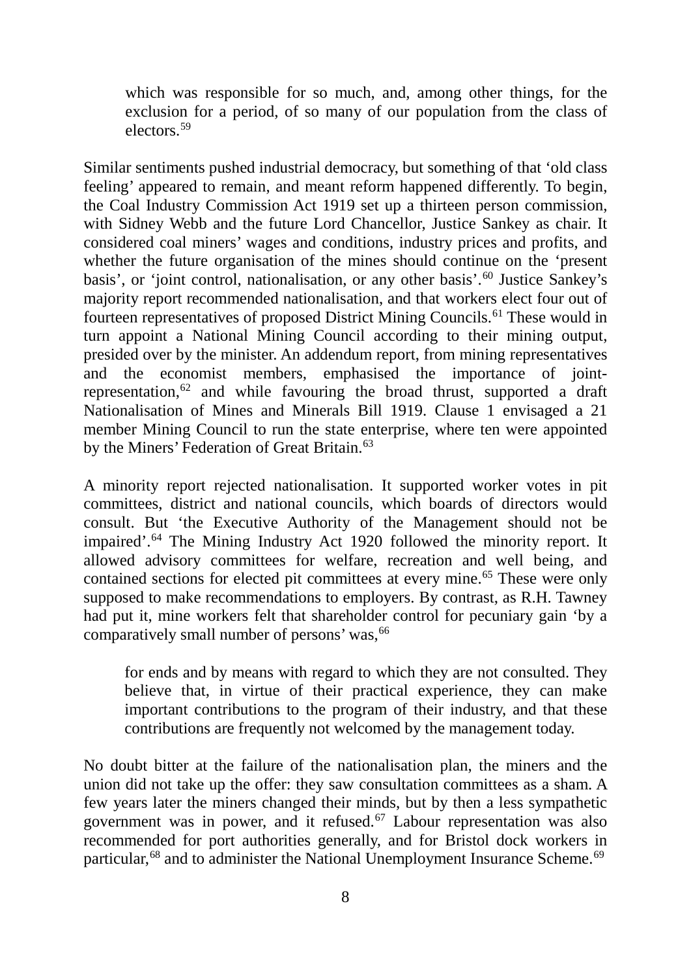which was responsible for so much, and, among other things, for the exclusion for a period, of so many of our population from the class of electors.59

Similar sentiments pushed industrial democracy, but something of that 'old class feeling' appeared to remain, and meant reform happened differently. To begin, the Coal Industry Commission Act 1919 set up a thirteen person commission, with Sidney Webb and the future Lord Chancellor, Justice Sankey as chair. It considered coal miners' wages and conditions, industry prices and profits, and whether the future organisation of the mines should continue on the 'present basis', or 'joint control, nationalisation, or any other basis'.60 Justice Sankey's majority report recommended nationalisation, and that workers elect four out of fourteen representatives of proposed District Mining Councils.61 These would in turn appoint a National Mining Council according to their mining output, presided over by the minister. An addendum report, from mining representatives and the economist members, emphasised the importance of jointrepresentation,62 and while favouring the broad thrust, supported a draft Nationalisation of Mines and Minerals Bill 1919. Clause 1 envisaged a 21 member Mining Council to run the state enterprise, where ten were appointed by the Miners' Federation of Great Britain.<sup>63</sup>

A minority report rejected nationalisation. It supported worker votes in pit committees, district and national councils, which boards of directors would consult. But 'the Executive Authority of the Management should not be impaired'.64 The Mining Industry Act 1920 followed the minority report. It allowed advisory committees for welfare, recreation and well being, and contained sections for elected pit committees at every mine.<sup>65</sup> These were only supposed to make recommendations to employers. By contrast, as R.H. Tawney had put it, mine workers felt that shareholder control for pecuniary gain 'by a comparatively small number of persons' was, <sup>66</sup>

for ends and by means with regard to which they are not consulted. They believe that, in virtue of their practical experience, they can make important contributions to the program of their industry, and that these contributions are frequently not welcomed by the management today.

No doubt bitter at the failure of the nationalisation plan, the miners and the union did not take up the offer: they saw consultation committees as a sham. A few years later the miners changed their minds, but by then a less sympathetic government was in power, and it refused.<sup>67</sup> Labour representation was also recommended for port authorities generally, and for Bristol dock workers in particular,<sup>68</sup> and to administer the National Unemployment Insurance Scheme.<sup>69</sup>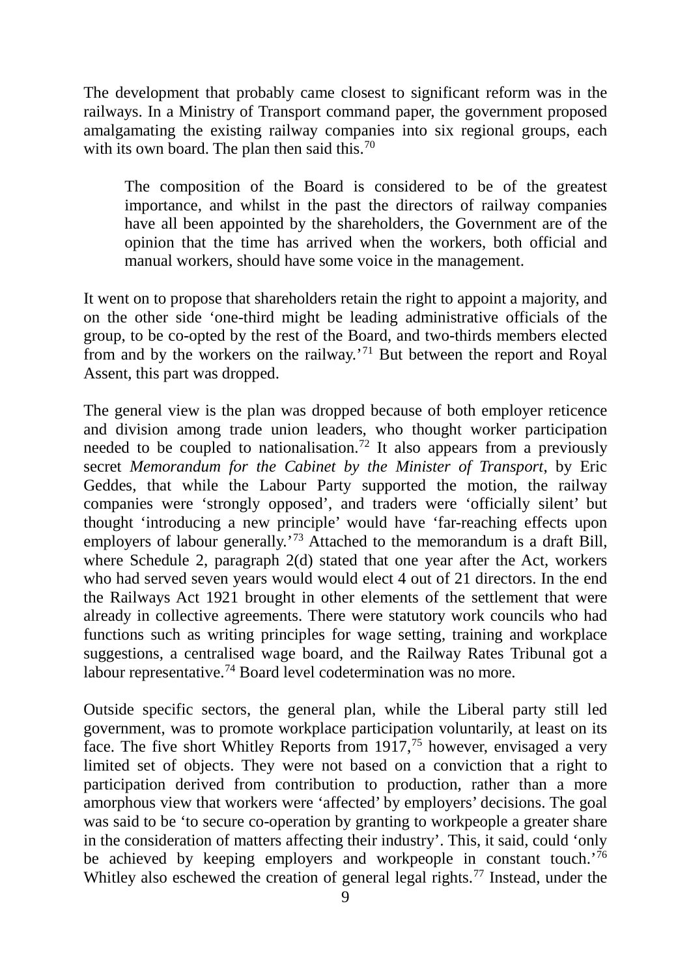The development that probably came closest to significant reform was in the railways. In a Ministry of Transport command paper, the government proposed amalgamating the existing railway companies into six regional groups, each with its own board. The plan then said this.<sup>70</sup>

The composition of the Board is considered to be of the greatest importance, and whilst in the past the directors of railway companies have all been appointed by the shareholders, the Government are of the opinion that the time has arrived when the workers, both official and manual workers, should have some voice in the management.

It went on to propose that shareholders retain the right to appoint a majority, and on the other side 'one-third might be leading administrative officials of the group, to be co-opted by the rest of the Board, and two-thirds members elected from and by the workers on the railway.'71 But between the report and Royal Assent, this part was dropped.

The general view is the plan was dropped because of both employer reticence and division among trade union leaders, who thought worker participation needed to be coupled to nationalisation.72 It also appears from a previously secret *Memorandum for the Cabinet by the Minister of Transport*, by Eric Geddes, that while the Labour Party supported the motion, the railway companies were 'strongly opposed', and traders were 'officially silent' but thought 'introducing a new principle' would have 'far-reaching effects upon employers of labour generally.<sup>'73</sup> Attached to the memorandum is a draft Bill, where Schedule 2, paragraph 2(d) stated that one year after the Act, workers who had served seven years would would elect 4 out of 21 directors. In the end the Railways Act 1921 brought in other elements of the settlement that were already in collective agreements. There were statutory work councils who had functions such as writing principles for wage setting, training and workplace suggestions, a centralised wage board, and the Railway Rates Tribunal got a labour representative.<sup>74</sup> Board level codetermination was no more.

Outside specific sectors, the general plan, while the Liberal party still led government, was to promote workplace participation voluntarily, at least on its face. The five short Whitley Reports from  $1917<sup>75</sup>$  however, envisaged a very limited set of objects. They were not based on a conviction that a right to participation derived from contribution to production, rather than a more amorphous view that workers were 'affected' by employers' decisions. The goal was said to be 'to secure co-operation by granting to workpeople a greater share in the consideration of matters affecting their industry'. This, it said, could 'only be achieved by keeping employers and workpeople in constant touch.<sup>'76</sup> Whitley also eschewed the creation of general legal rights.<sup>77</sup> Instead, under the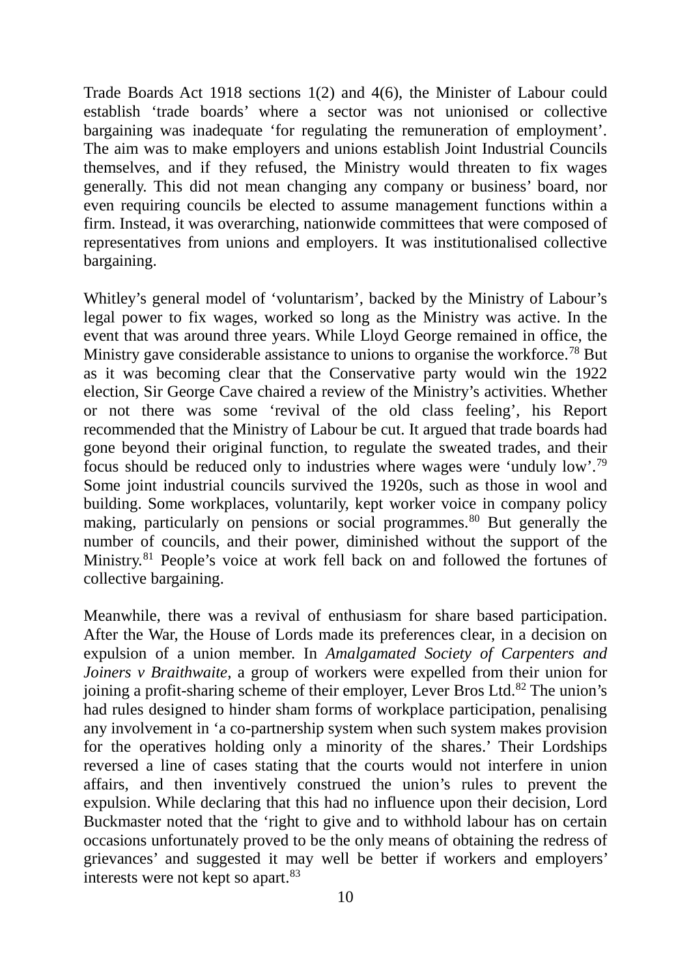Trade Boards Act 1918 sections 1(2) and 4(6), the Minister of Labour could establish 'trade boards' where a sector was not unionised or collective bargaining was inadequate 'for regulating the remuneration of employment'. The aim was to make employers and unions establish Joint Industrial Councils themselves, and if they refused, the Ministry would threaten to fix wages generally. This did not mean changing any company or business' board, nor even requiring councils be elected to assume management functions within a firm. Instead, it was overarching, nationwide committees that were composed of representatives from unions and employers. It was institutionalised collective bargaining.

Whitley's general model of 'voluntarism', backed by the Ministry of Labour's legal power to fix wages, worked so long as the Ministry was active. In the event that was around three years. While Lloyd George remained in office, the Ministry gave considerable assistance to unions to organise the workforce.78 But as it was becoming clear that the Conservative party would win the 1922 election, Sir George Cave chaired a review of the Ministry's activities. Whether or not there was some 'revival of the old class feeling', his Report recommended that the Ministry of Labour be cut. It argued that trade boards had gone beyond their original function, to regulate the sweated trades, and their focus should be reduced only to industries where wages were 'unduly low'.79 Some joint industrial councils survived the 1920s, such as those in wool and building. Some workplaces, voluntarily, kept worker voice in company policy making, particularly on pensions or social programmes.<sup>80</sup> But generally the number of councils, and their power, diminished without the support of the Ministry.<sup>81</sup> People's voice at work fell back on and followed the fortunes of collective bargaining.

Meanwhile, there was a revival of enthusiasm for share based participation. After the War, the House of Lords made its preferences clear, in a decision on expulsion of a union member. In *Amalgamated Society of Carpenters and Joiners v Braithwaite*, a group of workers were expelled from their union for joining a profit-sharing scheme of their employer, Lever Bros Ltd.<sup>82</sup> The union's had rules designed to hinder sham forms of workplace participation, penalising any involvement in 'a co-partnership system when such system makes provision for the operatives holding only a minority of the shares.' Their Lordships reversed a line of cases stating that the courts would not interfere in union affairs, and then inventively construed the union's rules to prevent the expulsion. While declaring that this had no influence upon their decision, Lord Buckmaster noted that the 'right to give and to withhold labour has on certain occasions unfortunately proved to be the only means of obtaining the redress of grievances' and suggested it may well be better if workers and employers' interests were not kept so apart. $83$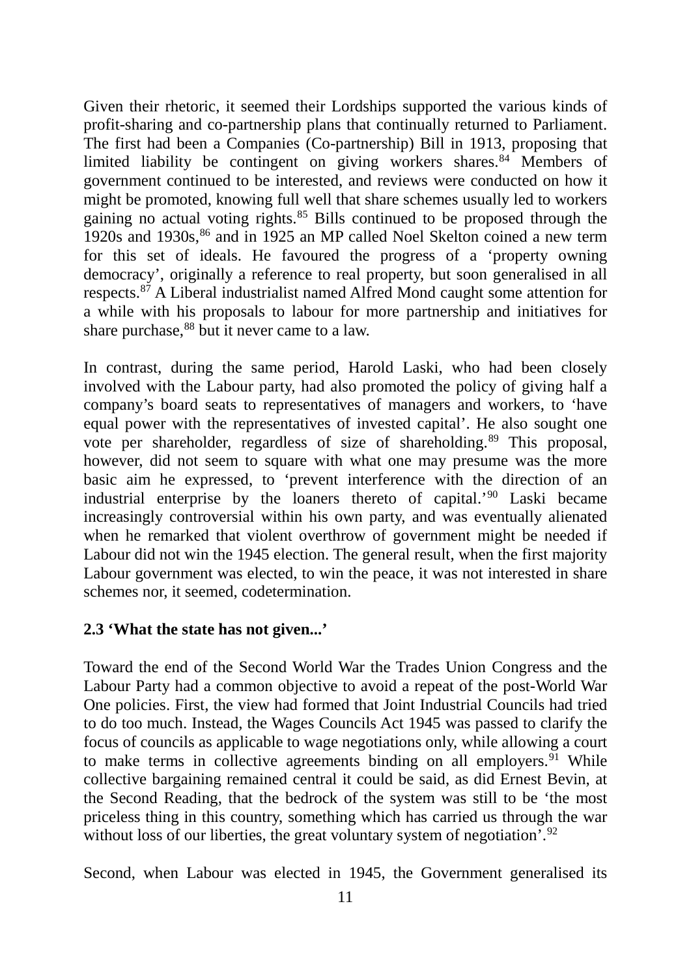Given their rhetoric, it seemed their Lordships supported the various kinds of profit-sharing and co-partnership plans that continually returned to Parliament. The first had been a Companies (Co-partnership) Bill in 1913, proposing that limited liability be contingent on giving workers shares.<sup>84</sup> Members of government continued to be interested, and reviews were conducted on how it might be promoted, knowing full well that share schemes usually led to workers gaining no actual voting rights.85 Bills continued to be proposed through the 1920s and 1930s,<sup>86</sup> and in 1925 an MP called Noel Skelton coined a new term for this set of ideals. He favoured the progress of a 'property owning democracy', originally a reference to real property, but soon generalised in all respects.87 A Liberal industrialist named Alfred Mond caught some attention for a while with his proposals to labour for more partnership and initiatives for share purchase,<sup>88</sup> but it never came to a law.

In contrast, during the same period, Harold Laski, who had been closely involved with the Labour party, had also promoted the policy of giving half a company's board seats to representatives of managers and workers, to 'have equal power with the representatives of invested capital'. He also sought one vote per shareholder, regardless of size of shareholding.<sup>89</sup> This proposal, however, did not seem to square with what one may presume was the more basic aim he expressed, to 'prevent interference with the direction of an industrial enterprise by the loaners thereto of capital.'90 Laski became increasingly controversial within his own party, and was eventually alienated when he remarked that violent overthrow of government might be needed if Labour did not win the 1945 election. The general result, when the first majority Labour government was elected, to win the peace, it was not interested in share schemes nor, it seemed, codetermination.

## **2.3 'What the state has not given...'**

Toward the end of the Second World War the Trades Union Congress and the Labour Party had a common objective to avoid a repeat of the post-World War One policies. First, the view had formed that Joint Industrial Councils had tried to do too much. Instead, the Wages Councils Act 1945 was passed to clarify the focus of councils as applicable to wage negotiations only, while allowing a court to make terms in collective agreements binding on all employers. <sup>91</sup> While collective bargaining remained central it could be said, as did Ernest Bevin, at the Second Reading, that the bedrock of the system was still to be 'the most priceless thing in this country, something which has carried us through the war without loss of our liberties, the great voluntary system of negotiation'.<sup>92</sup>

Second, when Labour was elected in 1945, the Government generalised its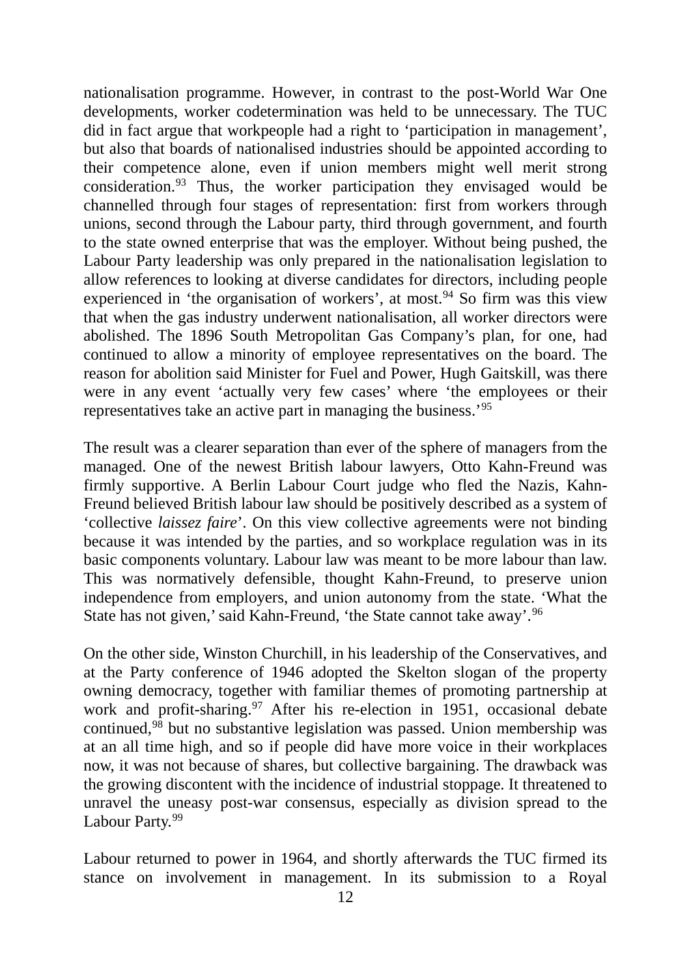nationalisation programme. However, in contrast to the post-World War One developments, worker codetermination was held to be unnecessary. The TUC did in fact argue that workpeople had a right to 'participation in management', but also that boards of nationalised industries should be appointed according to their competence alone, even if union members might well merit strong consideration.93 Thus, the worker participation they envisaged would be channelled through four stages of representation: first from workers through unions, second through the Labour party, third through government, and fourth to the state owned enterprise that was the employer. Without being pushed, the Labour Party leadership was only prepared in the nationalisation legislation to allow references to looking at diverse candidates for directors, including people experienced in 'the organisation of workers', at most.94 So firm was this view that when the gas industry underwent nationalisation, all worker directors were abolished. The 1896 South Metropolitan Gas Company's plan, for one, had continued to allow a minority of employee representatives on the board. The reason for abolition said Minister for Fuel and Power, Hugh Gaitskill, was there were in any event 'actually very few cases' where 'the employees or their representatives take an active part in managing the business.'95

The result was a clearer separation than ever of the sphere of managers from the managed. One of the newest British labour lawyers, Otto Kahn-Freund was firmly supportive. A Berlin Labour Court judge who fled the Nazis, Kahn-Freund believed British labour law should be positively described as a system of 'collective *laissez faire*'. On this view collective agreements were not binding because it was intended by the parties, and so workplace regulation was in its basic components voluntary. Labour law was meant to be more labour than law. This was normatively defensible, thought Kahn-Freund, to preserve union independence from employers, and union autonomy from the state. 'What the State has not given,' said Kahn-Freund, 'the State cannot take away'.96

On the other side, Winston Churchill, in his leadership of the Conservatives, and at the Party conference of 1946 adopted the Skelton slogan of the property owning democracy, together with familiar themes of promoting partnership at work and profit-sharing.<sup>97</sup> After his re-election in 1951, occasional debate continued,98 but no substantive legislation was passed. Union membership was at an all time high, and so if people did have more voice in their workplaces now, it was not because of shares, but collective bargaining. The drawback was the growing discontent with the incidence of industrial stoppage. It threatened to unravel the uneasy post-war consensus, especially as division spread to the Labour Party.<sup>99</sup>

Labour returned to power in 1964, and shortly afterwards the TUC firmed its stance on involvement in management. In its submission to a Royal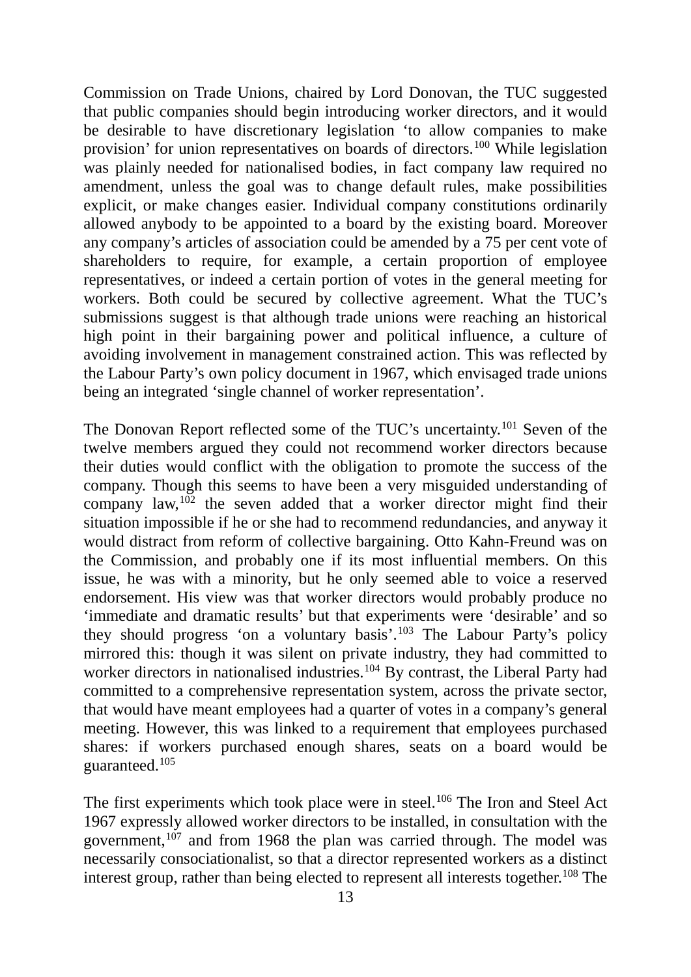Commission on Trade Unions, chaired by Lord Donovan, the TUC suggested that public companies should begin introducing worker directors, and it would be desirable to have discretionary legislation 'to allow companies to make provision' for union representatives on boards of directors.100 While legislation was plainly needed for nationalised bodies, in fact company law required no amendment, unless the goal was to change default rules, make possibilities explicit, or make changes easier. Individual company constitutions ordinarily allowed anybody to be appointed to a board by the existing board. Moreover any company's articles of association could be amended by a 75 per cent vote of shareholders to require, for example, a certain proportion of employee representatives, or indeed a certain portion of votes in the general meeting for workers. Both could be secured by collective agreement. What the TUC's submissions suggest is that although trade unions were reaching an historical high point in their bargaining power and political influence, a culture of avoiding involvement in management constrained action. This was reflected by the Labour Party's own policy document in 1967, which envisaged trade unions being an integrated 'single channel of worker representation'.

The Donovan Report reflected some of the TUC's uncertainty.101 Seven of the twelve members argued they could not recommend worker directors because their duties would conflict with the obligation to promote the success of the company. Though this seems to have been a very misguided understanding of company law,  $102$  the seven added that a worker director might find their situation impossible if he or she had to recommend redundancies, and anyway it would distract from reform of collective bargaining. Otto Kahn-Freund was on the Commission, and probably one if its most influential members. On this issue, he was with a minority, but he only seemed able to voice a reserved endorsement. His view was that worker directors would probably produce no 'immediate and dramatic results' but that experiments were 'desirable' and so they should progress 'on a voluntary basis'.103 The Labour Party's policy mirrored this: though it was silent on private industry, they had committed to worker directors in nationalised industries.<sup>104</sup> By contrast, the Liberal Party had committed to a comprehensive representation system, across the private sector, that would have meant employees had a quarter of votes in a company's general meeting. However, this was linked to a requirement that employees purchased shares: if workers purchased enough shares, seats on a board would be guaranteed.105

The first experiments which took place were in steel.<sup>106</sup> The Iron and Steel Act 1967 expressly allowed worker directors to be installed, in consultation with the government, $107$  and from 1968 the plan was carried through. The model was necessarily consociationalist, so that a director represented workers as a distinct interest group, rather than being elected to represent all interests together.<sup>108</sup> The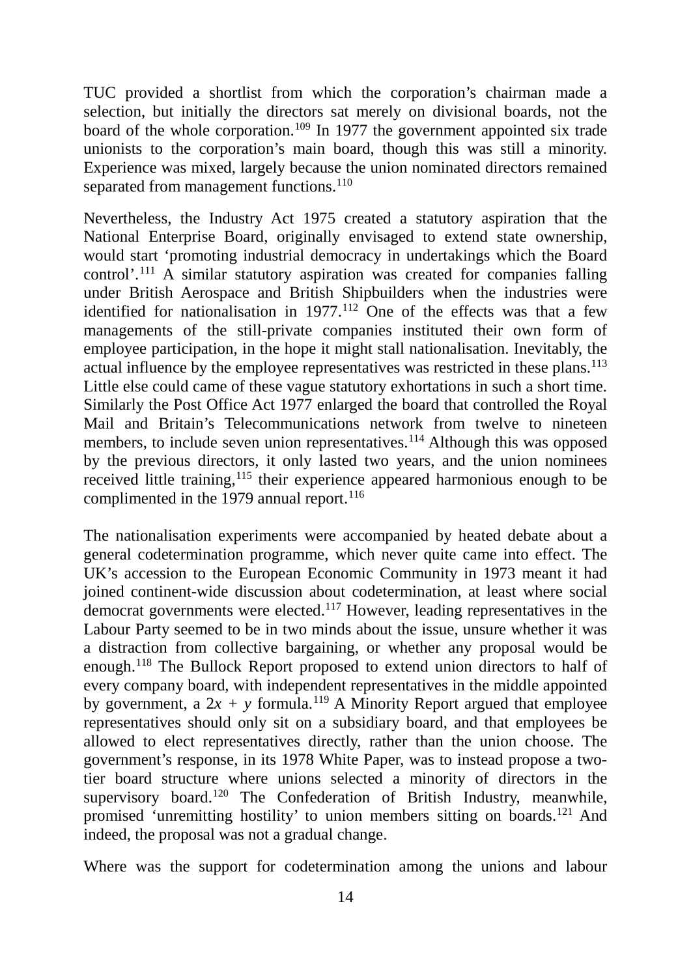TUC provided a shortlist from which the corporation's chairman made a selection, but initially the directors sat merely on divisional boards, not the board of the whole corporation.<sup>109</sup> In 1977 the government appointed six trade unionists to the corporation's main board, though this was still a minority. Experience was mixed, largely because the union nominated directors remained separated from management functions.<sup>110</sup>

Nevertheless, the Industry Act 1975 created a statutory aspiration that the National Enterprise Board, originally envisaged to extend state ownership, would start 'promoting industrial democracy in undertakings which the Board control'.111 A similar statutory aspiration was created for companies falling under British Aerospace and British Shipbuilders when the industries were identified for nationalisation in  $1977$ .<sup>112</sup> One of the effects was that a few managements of the still-private companies instituted their own form of employee participation, in the hope it might stall nationalisation. Inevitably, the actual influence by the employee representatives was restricted in these plans.<sup>113</sup> Little else could came of these vague statutory exhortations in such a short time. Similarly the Post Office Act 1977 enlarged the board that controlled the Royal Mail and Britain's Telecommunications network from twelve to nineteen members, to include seven union representatives.<sup>114</sup> Although this was opposed by the previous directors, it only lasted two years, and the union nominees received little training,<sup>115</sup> their experience appeared harmonious enough to be complimented in the 1979 annual report.<sup>116</sup>

The nationalisation experiments were accompanied by heated debate about a general codetermination programme, which never quite came into effect. The UK's accession to the European Economic Community in 1973 meant it had joined continent-wide discussion about codetermination, at least where social democrat governments were elected.<sup>117</sup> However, leading representatives in the Labour Party seemed to be in two minds about the issue, unsure whether it was a distraction from collective bargaining, or whether any proposal would be enough.118 The Bullock Report proposed to extend union directors to half of every company board, with independent representatives in the middle appointed by government, a  $2x + y$  formula.<sup>119</sup> A Minority Report argued that employee representatives should only sit on a subsidiary board, and that employees be allowed to elect representatives directly, rather than the union choose. The government's response, in its 1978 White Paper, was to instead propose a twotier board structure where unions selected a minority of directors in the supervisory board.<sup>120</sup> The Confederation of British Industry, meanwhile, promised 'unremitting hostility' to union members sitting on boards.121 And indeed, the proposal was not a gradual change.

Where was the support for codetermination among the unions and labour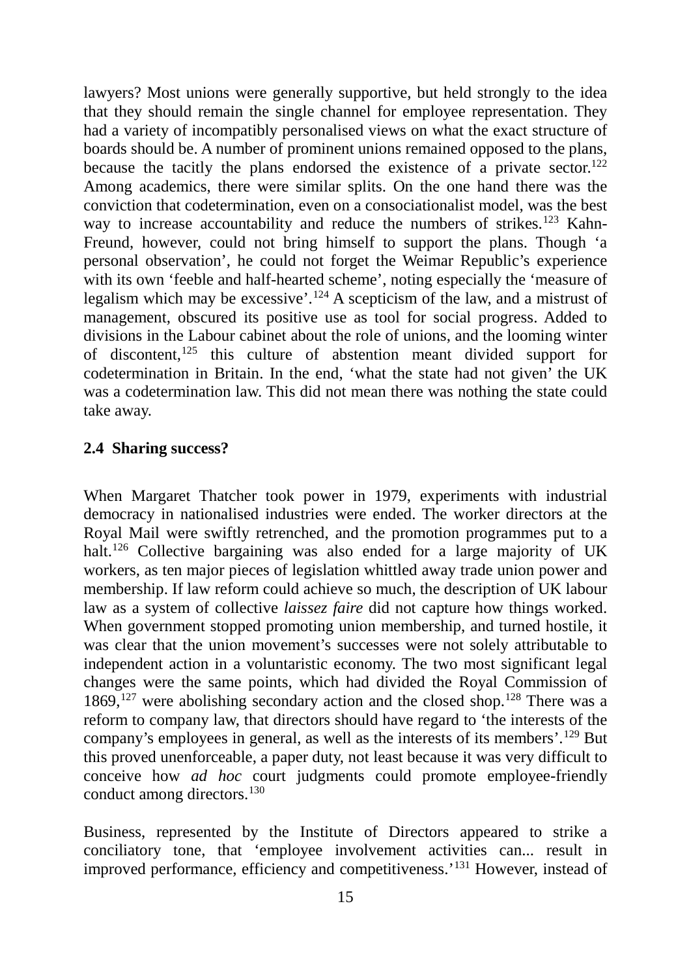lawyers? Most unions were generally supportive, but held strongly to the idea that they should remain the single channel for employee representation. They had a variety of incompatibly personalised views on what the exact structure of boards should be. A number of prominent unions remained opposed to the plans, because the tacitly the plans endorsed the existence of a private sector.<sup>122</sup> Among academics, there were similar splits. On the one hand there was the conviction that codetermination, even on a consociationalist model, was the best way to increase accountability and reduce the numbers of strikes.<sup>123</sup> Kahn-Freund, however, could not bring himself to support the plans. Though 'a personal observation', he could not forget the Weimar Republic's experience with its own 'feeble and half-hearted scheme', noting especially the 'measure of legalism which may be excessive'.124 A scepticism of the law, and a mistrust of management, obscured its positive use as tool for social progress. Added to divisions in the Labour cabinet about the role of unions, and the looming winter of discontent,125 this culture of abstention meant divided support for codetermination in Britain. In the end, 'what the state had not given' the UK was a codetermination law. This did not mean there was nothing the state could take away.

#### **2.4 Sharing success?**

When Margaret Thatcher took power in 1979, experiments with industrial democracy in nationalised industries were ended. The worker directors at the Royal Mail were swiftly retrenched, and the promotion programmes put to a halt.<sup>126</sup> Collective bargaining was also ended for a large majority of UK workers, as ten major pieces of legislation whittled away trade union power and membership. If law reform could achieve so much, the description of UK labour law as a system of collective *laissez faire* did not capture how things worked. When government stopped promoting union membership, and turned hostile, it was clear that the union movement's successes were not solely attributable to independent action in a voluntaristic economy. The two most significant legal changes were the same points, which had divided the Royal Commission of 1869,<sup>127</sup> were abolishing secondary action and the closed shop.<sup>128</sup> There was a reform to company law, that directors should have regard to 'the interests of the company's employees in general, as well as the interests of its members'.129 But this proved unenforceable, a paper duty, not least because it was very difficult to conceive how *ad hoc* court judgments could promote employee-friendly conduct among directors.130

Business, represented by the Institute of Directors appeared to strike a conciliatory tone, that 'employee involvement activities can... result in improved performance, efficiency and competitiveness.'131 However, instead of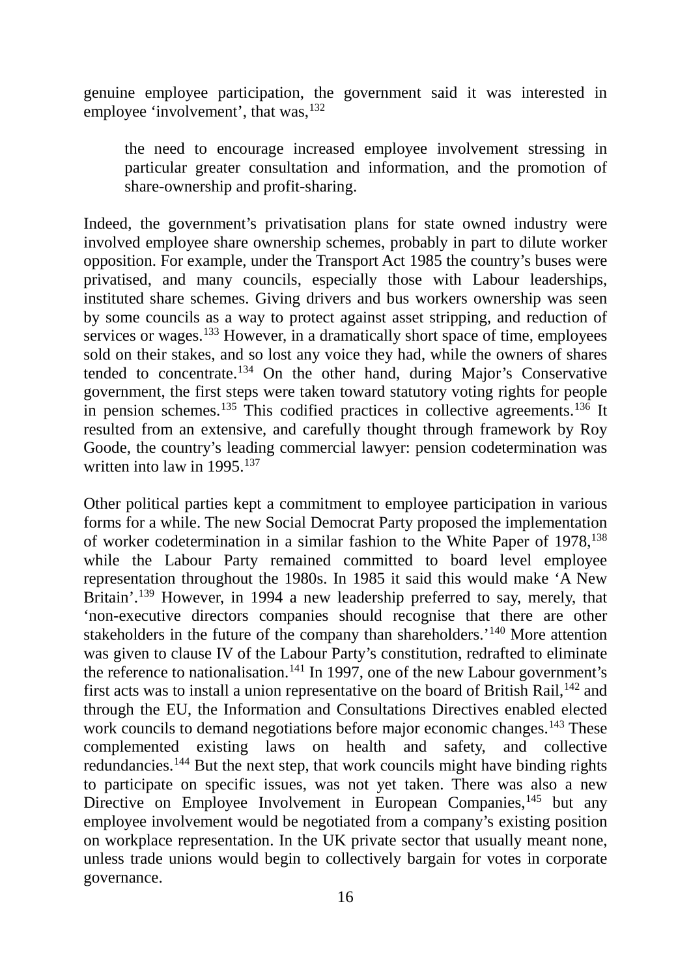genuine employee participation, the government said it was interested in employee 'involvement', that was, $132$ 

the need to encourage increased employee involvement stressing in particular greater consultation and information, and the promotion of share-ownership and profit-sharing.

Indeed, the government's privatisation plans for state owned industry were involved employee share ownership schemes, probably in part to dilute worker opposition. For example, under the Transport Act 1985 the country's buses were privatised, and many councils, especially those with Labour leaderships, instituted share schemes. Giving drivers and bus workers ownership was seen by some councils as a way to protect against asset stripping, and reduction of services or wages.<sup>133</sup> However, in a dramatically short space of time, employees sold on their stakes, and so lost any voice they had, while the owners of shares tended to concentrate.134 On the other hand, during Major's Conservative government, the first steps were taken toward statutory voting rights for people in pension schemes.<sup>135</sup> This codified practices in collective agreements.<sup>136</sup> It resulted from an extensive, and carefully thought through framework by Roy Goode, the country's leading commercial lawyer: pension codetermination was written into law in  $1995$ <sup>137</sup>

Other political parties kept a commitment to employee participation in various forms for a while. The new Social Democrat Party proposed the implementation of worker codetermination in a similar fashion to the White Paper of 1978.<sup>138</sup> while the Labour Party remained committed to board level employee representation throughout the 1980s. In 1985 it said this would make 'A New Britain'.<sup>139</sup> However, in 1994 a new leadership preferred to say, merely, that 'non-executive directors companies should recognise that there are other stakeholders in the future of the company than shareholders.<sup>'140</sup> More attention was given to clause IV of the Labour Party's constitution, redrafted to eliminate the reference to nationalisation.<sup>141</sup> In 1997, one of the new Labour government's first acts was to install a union representative on the board of British Rail,142 and through the EU, the Information and Consultations Directives enabled elected work councils to demand negotiations before major economic changes.<sup>143</sup> These complemented existing laws on health and safety, and collective redundancies.144 But the next step, that work councils might have binding rights to participate on specific issues, was not yet taken. There was also a new Directive on Employee Involvement in European Companies,<sup>145</sup> but any employee involvement would be negotiated from a company's existing position on workplace representation. In the UK private sector that usually meant none, unless trade unions would begin to collectively bargain for votes in corporate governance.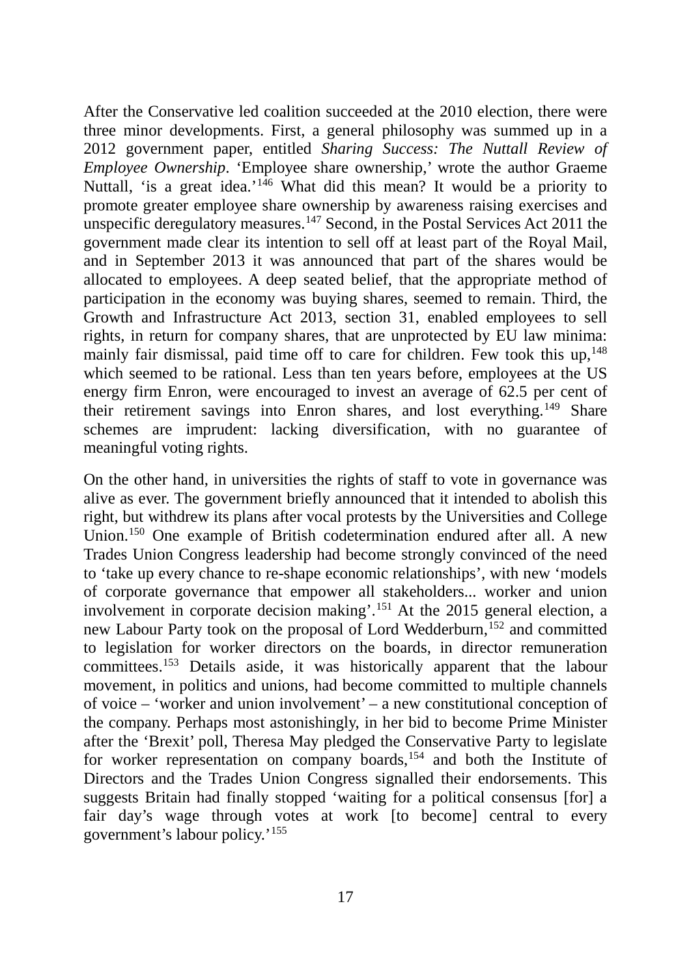After the Conservative led coalition succeeded at the 2010 election, there were three minor developments. First, a general philosophy was summed up in a 2012 government paper, entitled *Sharing Success: The Nuttall Review of Employee Ownership*. 'Employee share ownership,' wrote the author Graeme Nuttall, 'is a great idea.'<sup>146</sup> What did this mean? It would be a priority to promote greater employee share ownership by awareness raising exercises and unspecific deregulatory measures.<sup>147</sup> Second, in the Postal Services Act 2011 the government made clear its intention to sell off at least part of the Royal Mail, and in September 2013 it was announced that part of the shares would be allocated to employees. A deep seated belief, that the appropriate method of participation in the economy was buying shares, seemed to remain. Third, the Growth and Infrastructure Act 2013, section 31, enabled employees to sell rights, in return for company shares, that are unprotected by EU law minima: mainly fair dismissal, paid time off to care for children. Few took this  $up,148$ which seemed to be rational. Less than ten years before, employees at the US energy firm Enron, were encouraged to invest an average of 62.5 per cent of their retirement savings into Enron shares, and lost everything.149 Share schemes are imprudent: lacking diversification, with no guarantee of meaningful voting rights.

On the other hand, in universities the rights of staff to vote in governance was alive as ever. The government briefly announced that it intended to abolish this right, but withdrew its plans after vocal protests by the Universities and College Union.<sup>150</sup> One example of British codetermination endured after all. A new Trades Union Congress leadership had become strongly convinced of the need to 'take up every chance to re-shape economic relationships', with new 'models of corporate governance that empower all stakeholders... worker and union involvement in corporate decision making'.151 At the 2015 general election, a new Labour Party took on the proposal of Lord Wedderburn,<sup>152</sup> and committed to legislation for worker directors on the boards, in director remuneration committees.153 Details aside, it was historically apparent that the labour movement, in politics and unions, had become committed to multiple channels of voice – 'worker and union involvement' – a new constitutional conception of the company. Perhaps most astonishingly, in her bid to become Prime Minister after the 'Brexit' poll, Theresa May pledged the Conservative Party to legislate for worker representation on company boards,<sup>154</sup> and both the Institute of Directors and the Trades Union Congress signalled their endorsements. This suggests Britain had finally stopped 'waiting for a political consensus [for] a fair day's wage through votes at work [to become] central to every government's labour policy.'155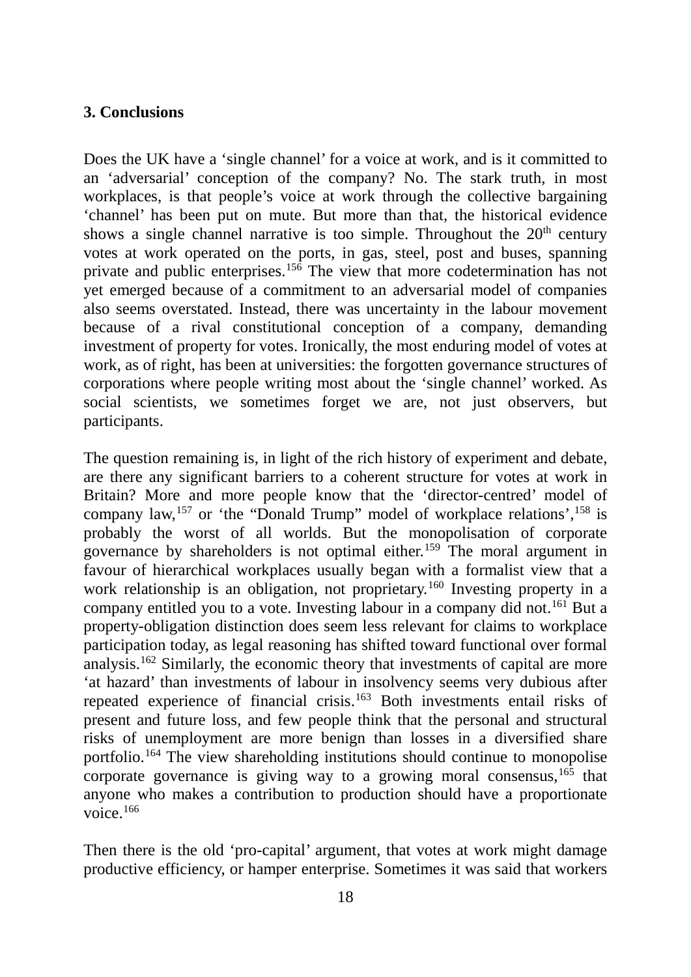## **3. Conclusions**

Does the UK have a 'single channel' for a voice at work, and is it committed to an 'adversarial' conception of the company? No. The stark truth, in most workplaces, is that people's voice at work through the collective bargaining 'channel' has been put on mute. But more than that, the historical evidence shows a single channel narrative is too simple. Throughout the  $20<sup>th</sup>$  century votes at work operated on the ports, in gas, steel, post and buses, spanning private and public enterprises.156 The view that more codetermination has not yet emerged because of a commitment to an adversarial model of companies also seems overstated. Instead, there was uncertainty in the labour movement because of a rival constitutional conception of a company, demanding investment of property for votes. Ironically, the most enduring model of votes at work, as of right, has been at universities: the forgotten governance structures of corporations where people writing most about the 'single channel' worked. As social scientists, we sometimes forget we are, not just observers, but participants.

The question remaining is, in light of the rich history of experiment and debate, are there any significant barriers to a coherent structure for votes at work in Britain? More and more people know that the 'director-centred' model of company law,<sup>157</sup> or 'the "Donald Trump" model of workplace relations',  $158$  is probably the worst of all worlds. But the monopolisation of corporate governance by shareholders is not optimal either.159 The moral argument in favour of hierarchical workplaces usually began with a formalist view that a work relationship is an obligation, not proprietary.<sup>160</sup> Investing property in a company entitled you to a vote. Investing labour in a company did not.<sup>161</sup> But a property-obligation distinction does seem less relevant for claims to workplace participation today, as legal reasoning has shifted toward functional over formal analysis.162 Similarly, the economic theory that investments of capital are more 'at hazard' than investments of labour in insolvency seems very dubious after repeated experience of financial crisis.163 Both investments entail risks of present and future loss, and few people think that the personal and structural risks of unemployment are more benign than losses in a diversified share portfolio.164 The view shareholding institutions should continue to monopolise corporate governance is giving way to a growing moral consensus,  $165$  that anyone who makes a contribution to production should have a proportionate voice.166

Then there is the old 'pro-capital' argument, that votes at work might damage productive efficiency, or hamper enterprise. Sometimes it was said that workers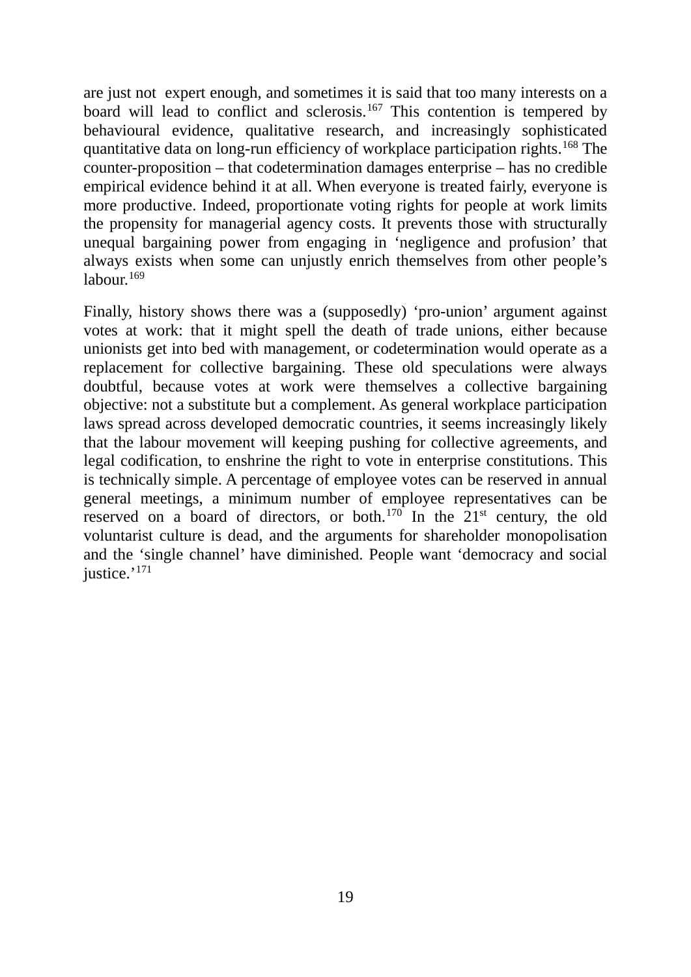are just not expert enough, and sometimes it is said that too many interests on a board will lead to conflict and sclerosis.<sup>167</sup> This contention is tempered by behavioural evidence, qualitative research, and increasingly sophisticated quantitative data on long-run efficiency of workplace participation rights.<sup>168</sup> The counter-proposition – that codetermination damages enterprise – has no credible empirical evidence behind it at all. When everyone is treated fairly, everyone is more productive. Indeed, proportionate voting rights for people at work limits the propensity for managerial agency costs. It prevents those with structurally unequal bargaining power from engaging in 'negligence and profusion' that always exists when some can unjustly enrich themselves from other people's labour. $169$ 

Finally, history shows there was a (supposedly) 'pro-union' argument against votes at work: that it might spell the death of trade unions, either because unionists get into bed with management, or codetermination would operate as a replacement for collective bargaining. These old speculations were always doubtful, because votes at work were themselves a collective bargaining objective: not a substitute but a complement. As general workplace participation laws spread across developed democratic countries, it seems increasingly likely that the labour movement will keeping pushing for collective agreements, and legal codification, to enshrine the right to vote in enterprise constitutions. This is technically simple. A percentage of employee votes can be reserved in annual general meetings, a minimum number of employee representatives can be reserved on a board of directors, or both.<sup>170</sup> In the  $21<sup>st</sup>$  century, the old voluntarist culture is dead, and the arguments for shareholder monopolisation and the 'single channel' have diminished. People want 'democracy and social justice.'<sup>171</sup>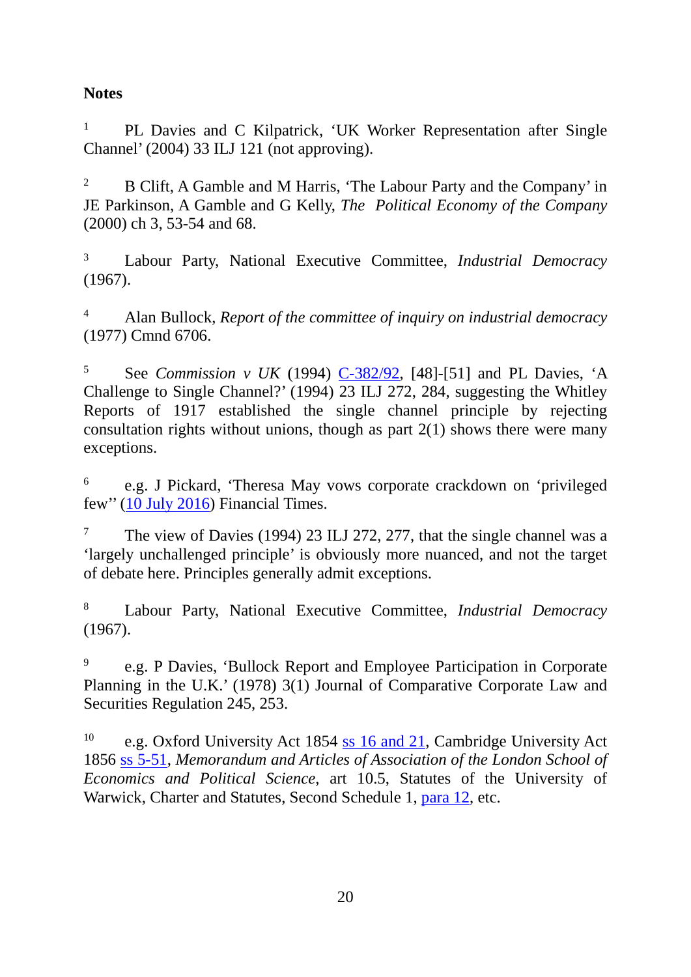# **Notes**

<sup>1</sup> PL Davies and C Kilpatrick, 'UK Worker Representation after Single Channel' (2004) 33 ILJ 121 (not approving).

<sup>2</sup> B Clift, A Gamble and M Harris, 'The Labour Party and the Company' in JE Parkinson, A Gamble and G Kelly, *The Political Economy of the Company* (2000) ch 3, 53-54 and 68.

<sup>3</sup> Labour Party, National Executive Committee, *Industrial Democracy*  (1967).

<sup>4</sup> Alan Bullock, *Report of the committee of inquiry on industrial democracy* (1977) Cmnd 6706.

<sup>5</sup> See *Commission v UK* (1994) [C-382/92,](http://eur-lex.europa.eu/legal-content/EN/TXT/HTML/?uri=CELEX:61992CJ0382&from=EN) [48]-[51] and PL Davies, 'A Challenge to Single Channel?' (1994) 23 ILJ 272, 284, suggesting the Whitley Reports of 1917 established the single channel principle by rejecting consultation rights without unions, though as part  $2(1)$  shows there were many exceptions.

<sup>6</sup> e.g. J Pickard, 'Theresa May vows corporate crackdown on 'privileged few'' [\(10 July 2016\)](https://next.ft.com/content/d80f606e-46b1-11e6-8d68-72e9211e86ab) Financial Times.

<sup>7</sup> The view of Davies (1994) 23 ILJ 272, 277, that the single channel was a 'largely unchallenged principle' is obviously more nuanced, and not the target of debate here. Principles generally admit exceptions.

<sup>8</sup> Labour Party, National Executive Committee, *Industrial Democracy*  (1967).

<sup>9</sup> e.g. P Davies, 'Bullock Report and Employee Participation in Corporate Planning in the U.K.' (1978) 3(1) Journal of Comparative Corporate Law and Securities Regulation 245, 253.

<sup>10</sup> e.g. Oxford University Act 1854 [ss 16 and 21,](http://www.legislation.gov.uk/ukpga/Vict/17-18/81/section/21) Cambridge University Act 1856 [ss 5-51,](http://www.legislation.gov.uk/ukpga/Vict/19-20/88/crossheading/constitution-of-the-university) *Memorandum and Articles of Association of the London School of Economics and Political Science*, art 10.5, Statutes of the University of Warwick, Charter and Statutes, Second Schedule 1, [para 12,](https://www2.warwick.ac.uk/services/gov/calendar/section2/charterstatutes/secondschedule/) etc.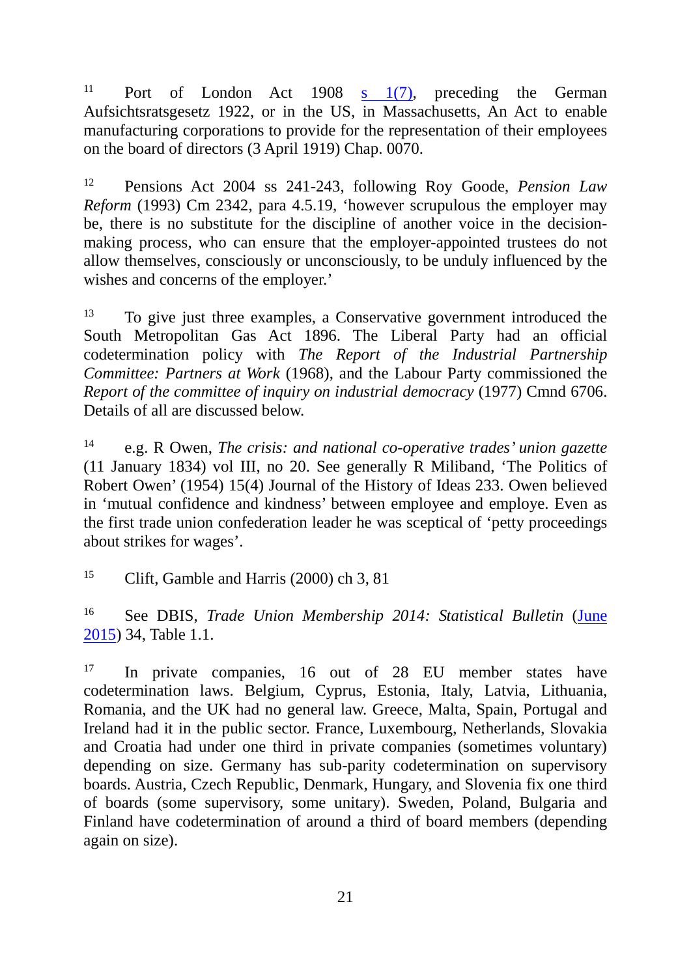<sup>11</sup> Port of London Act 1908 s  $1(7)$ , preceding the German Aufsichtsratsgesetz 1922, or in the US, in Massachusetts, An Act to enable manufacturing corporations to provide for the representation of their employees on the board of directors (3 April 1919) Chap. 0070.

<sup>12</sup> Pensions Act 2004 ss 241-243, following Roy Goode, *Pension Law Reform* (1993) Cm 2342, para 4.5.19, 'however scrupulous the employer may be, there is no substitute for the discipline of another voice in the decisionmaking process, who can ensure that the employer-appointed trustees do not allow themselves, consciously or unconsciously, to be unduly influenced by the wishes and concerns of the employer.'

<sup>13</sup> To give just three examples, a Conservative government introduced the South Metropolitan Gas Act 1896. The Liberal Party had an official codetermination policy with *The Report of the Industrial Partnership Committee: Partners at Work* (1968), and the Labour Party commissioned the *Report of the committee of inquiry on industrial democracy* (1977) Cmnd 6706. Details of all are discussed below.

<sup>14</sup> e.g. R Owen, *The crisis: and national co-operative trades' union gazette* (11 January 1834) vol III, no 20. See generally R Miliband, 'The Politics of Robert Owen' (1954) 15(4) Journal of the History of Ideas 233. Owen believed in 'mutual confidence and kindness' between employee and employe. Even as the first trade union confederation leader he was sceptical of 'petty proceedings about strikes for wages'.

<sup>15</sup> Clift, Gamble and Harris (2000) ch 3, 81

<sup>16</sup> See DBIS, *Trade Union Membership 2014: Statistical Bulletin* [\(June](https://www.gov.uk/government/uploads/system/uploads/attachment_data/file/431564/Trade_Union_Membership_Statistics_2014.pdf)  [2015\)](https://www.gov.uk/government/uploads/system/uploads/attachment_data/file/431564/Trade_Union_Membership_Statistics_2014.pdf) 34, Table 1.1.

<sup>17</sup> In private companies, 16 out of 28 EU member states have codetermination laws. Belgium, Cyprus, Estonia, Italy, Latvia, Lithuania, Romania, and the UK had no general law. Greece, Malta, Spain, Portugal and Ireland had it in the public sector. France, Luxembourg, Netherlands, Slovakia and Croatia had under one third in private companies (sometimes voluntary) depending on size. Germany has sub-parity codetermination on supervisory boards. Austria, Czech Republic, Denmark, Hungary, and Slovenia fix one third of boards (some supervisory, some unitary). Sweden, Poland, Bulgaria and Finland have codetermination of around a third of board members (depending again on size).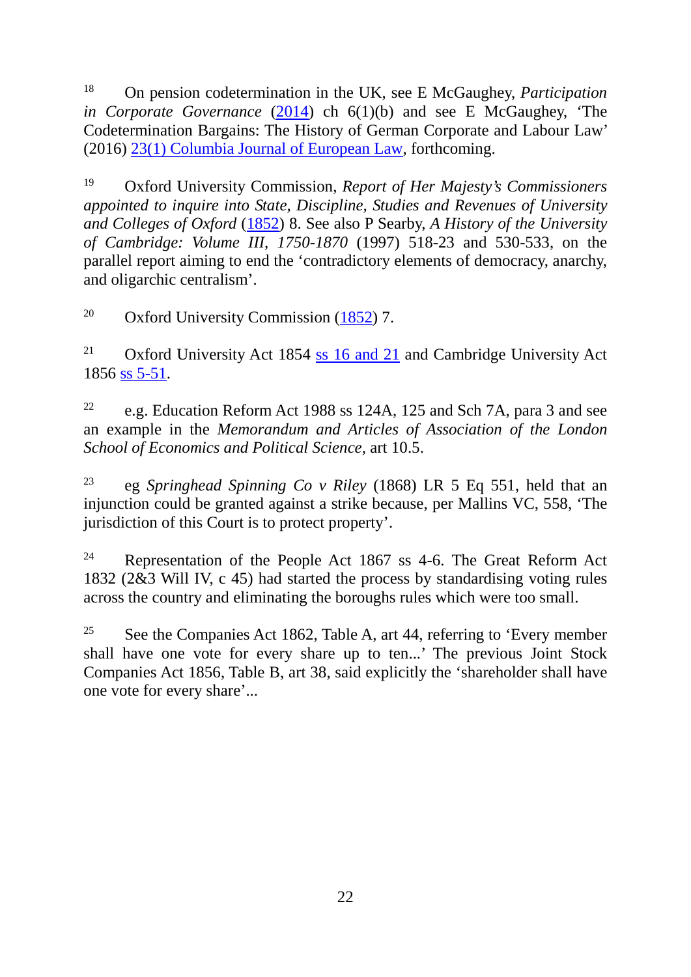<sup>18</sup> On pension codetermination in the UK, see E McGaughey, *Participation in Corporate Governance* [\(2014\)](http://papers.ssrn.com/sol3/papers.cfm?abstract_id=2593904) ch 6(1)(b) and see E McGaughey, 'The Codetermination Bargains: The History of German Corporate and Labour Law' (2016) [23\(1\) Columbia Journal of European Law,](http://papers.ssrn.com/sol3/papers.cfm?abstract_id=2579932) forthcoming.

<sup>19</sup> Oxford University Commission, *Report of Her Majesty's Commissioners appointed to inquire into State, Discipline, Studies and Revenues of University and Colleges of Oxford* [\(1852\)](https://archive.org/stream/cu31924030614741#page/n41/mode/2up) 8. See also P Searby, *A History of the University of Cambridge: Volume III, 1750-1870* (1997) 518-23 and 530-533, on the parallel report aiming to end the 'contradictory elements of democracy, anarchy, and oligarchic centralism'.

<sup>20</sup> Oxford University Commission  $(1852)$  7.

<sup>21</sup> Oxford University Act 1854 [ss 16 and 21](http://www.legislation.gov.uk/ukpga/Vict/17-18/81/section/21) and Cambridge University Act 1856 [ss 5-51.](http://www.legislation.gov.uk/ukpga/Vict/19-20/88/crossheading/constitution-of-the-university)

<sup>22</sup> e.g. Education Reform Act 1988 ss 124A, 125 and Sch 7A, para 3 and see an example in the *Memorandum and Articles of Association of the London School of Economics and Political Science*, art 10.5.

<sup>23</sup> eg *Springhead Spinning Co v Riley* (1868) LR 5 Eq 551, held that an injunction could be granted against a strike because, per Mallins VC, 558, 'The jurisdiction of this Court is to protect property'.

<sup>24</sup> Representation of the People Act 1867 ss 4-6. The Great Reform Act 1832 (2&3 Will IV, c 45) had started the process by standardising voting rules across the country and eliminating the boroughs rules which were too small.

<sup>25</sup> See the Companies Act 1862, Table A, art 44, referring to 'Every member shall have one vote for every share up to ten...' The previous Joint Stock Companies Act 1856, Table B, art 38, said explicitly the 'shareholder shall have one vote for every share'...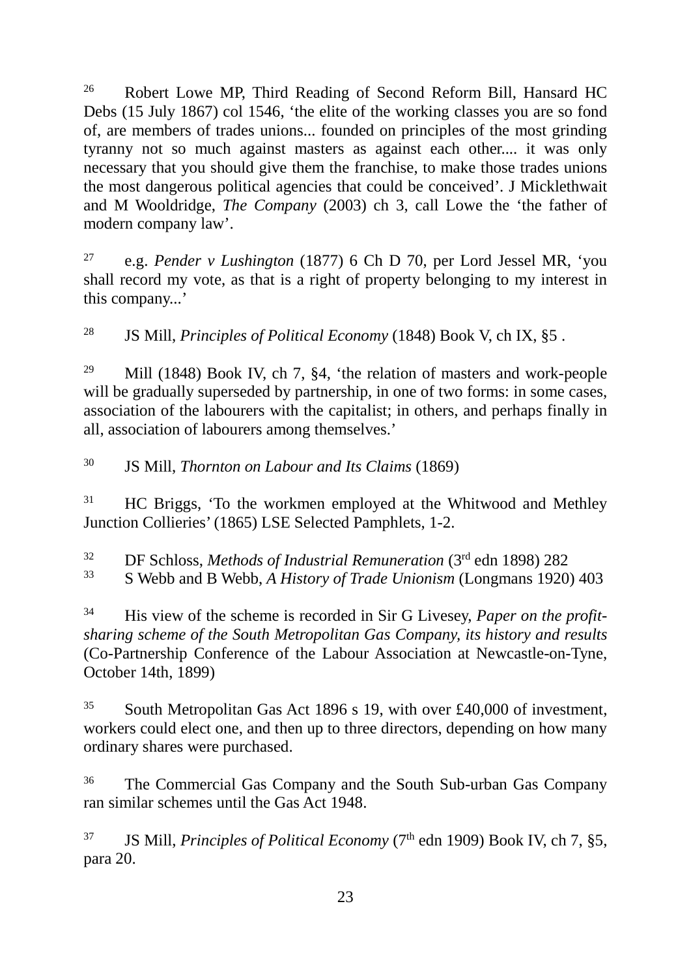<sup>26</sup> Robert Lowe MP, Third Reading of Second Reform Bill, Hansard HC Debs (15 July 1867) col 1546, 'the elite of the working classes you are so fond of, are members of trades unions... founded on principles of the most grinding tyranny not so much against masters as against each other.... it was only necessary that you should give them the franchise, to make those trades unions the most dangerous political agencies that could be conceived'. J Micklethwait and M Wooldridge, *The Company* (2003) ch 3, call Lowe the 'the father of modern company law'.

<sup>27</sup> e.g. *Pender v Lushington* (1877) 6 Ch D 70, per Lord Jessel MR, 'you shall record my vote, as that is a right of property belonging to my interest in this company...'

<sup>28</sup> JS Mill, *Principles of Political Economy* (1848) Book V, ch IX, §5 .

<sup>29</sup> Mill (1848) Book IV, ch 7,  $\S4$ , 'the relation of masters and work-people will be gradually superseded by partnership, in one of two forms: in some cases, association of the labourers with the capitalist; in others, and perhaps finally in all, association of labourers among themselves.'

<sup>30</sup> JS Mill, *Thornton on Labour and Its Claims* (1869)

<sup>31</sup> HC Briggs, 'To the workmen employed at the Whitwood and Methley Junction Collieries' (1865) LSE Selected Pamphlets, 1-2.

<sup>32</sup> DF Schloss, *Methods of Industrial Remuneration* (3rd edn 1898) 282

<sup>33</sup> S Webb and B Webb, *A History of Trade Unionism* (Longmans 1920) 403

<sup>34</sup> His view of the scheme is recorded in Sir G Livesey, *Paper on the profitsharing scheme of the South Metropolitan Gas Company, its history and results* (Co-Partnership Conference of the Labour Association at Newcastle-on-Tyne, October 14th, 1899)

<sup>35</sup> South Metropolitan Gas Act 1896 s 19, with over £40,000 of investment, workers could elect one, and then up to three directors, depending on how many ordinary shares were purchased.

<sup>36</sup> The Commercial Gas Company and the South Sub-urban Gas Company ran similar schemes until the Gas Act 1948.

<sup>37</sup> JS Mill, *Principles of Political Economy* ( $7<sup>th</sup>$  edn 1909) Book IV, ch 7, §5, para 20.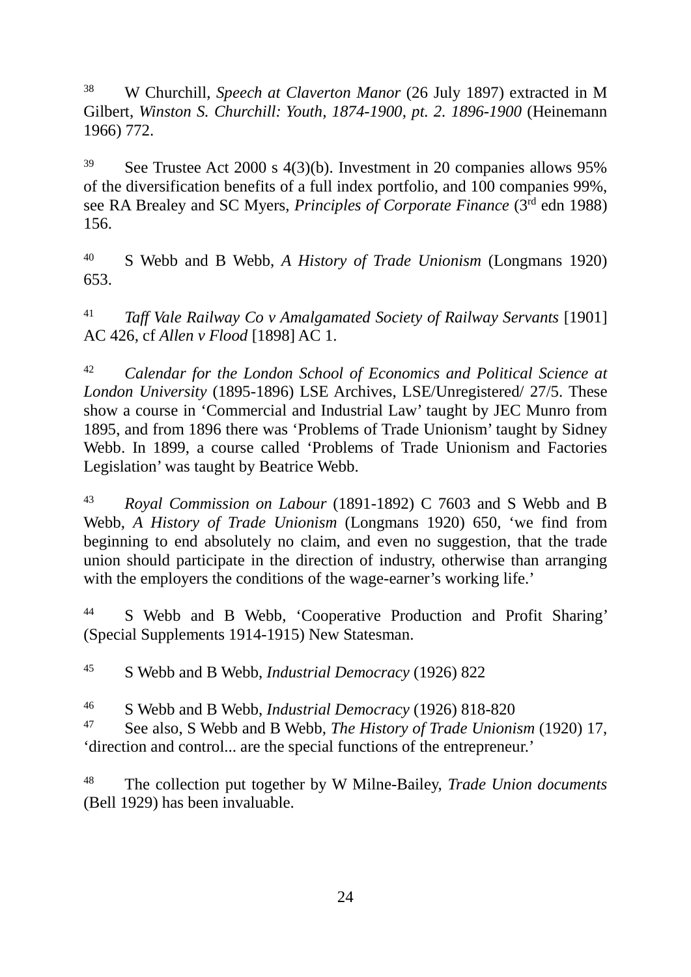<sup>38</sup> W Churchill, *Speech at Claverton Manor* (26 July 1897) extracted in M Gilbert, *Winston S. Churchill: Youth, 1874-1900, pt. 2. 1896-1900* (Heinemann 1966) 772.

<sup>39</sup> See Trustee Act 2000 s 4(3)(b). Investment in 20 companies allows 95% of the diversification benefits of a full index portfolio, and 100 companies 99%, see RA Brealey and SC Myers, *Principles of Corporate Finance* (3rd edn 1988) 156.

<sup>40</sup> S Webb and B Webb, *A History of Trade Unionism* (Longmans 1920) 653.

<sup>41</sup> *Taff Vale Railway Co v Amalgamated Society of Railway Servants* [1901] AC 426, cf *Allen v Flood* [1898] AC 1.

<sup>42</sup> *Calendar for the London School of Economics and Political Science at London University* (1895-1896) LSE Archives, LSE/Unregistered/ 27/5. These show a course in 'Commercial and Industrial Law' taught by JEC Munro from 1895, and from 1896 there was 'Problems of Trade Unionism' taught by Sidney Webb. In 1899, a course called 'Problems of Trade Unionism and Factories Legislation' was taught by Beatrice Webb.

<sup>43</sup> *Royal Commission on Labour* (1891-1892) C 7603 and S Webb and B Webb, *A History of Trade Unionism* (Longmans 1920) 650, 'we find from beginning to end absolutely no claim, and even no suggestion, that the trade union should participate in the direction of industry, otherwise than arranging with the employers the conditions of the wage-earner's working life.'

44 S Webb and B Webb, 'Cooperative Production and Profit Sharing' (Special Supplements 1914-1915) New Statesman.

<sup>45</sup> S Webb and B Webb, *Industrial Democracy* (1926) 822

<sup>46</sup> S Webb and B Webb, *Industrial Democracy* (1926) 818-820

<sup>47</sup> See also, S Webb and B Webb, *The History of Trade Unionism* (1920) 17, 'direction and control... are the special functions of the entrepreneur.'

<sup>48</sup> The collection put together by W Milne-Bailey, *Trade Union documents* (Bell 1929) has been invaluable.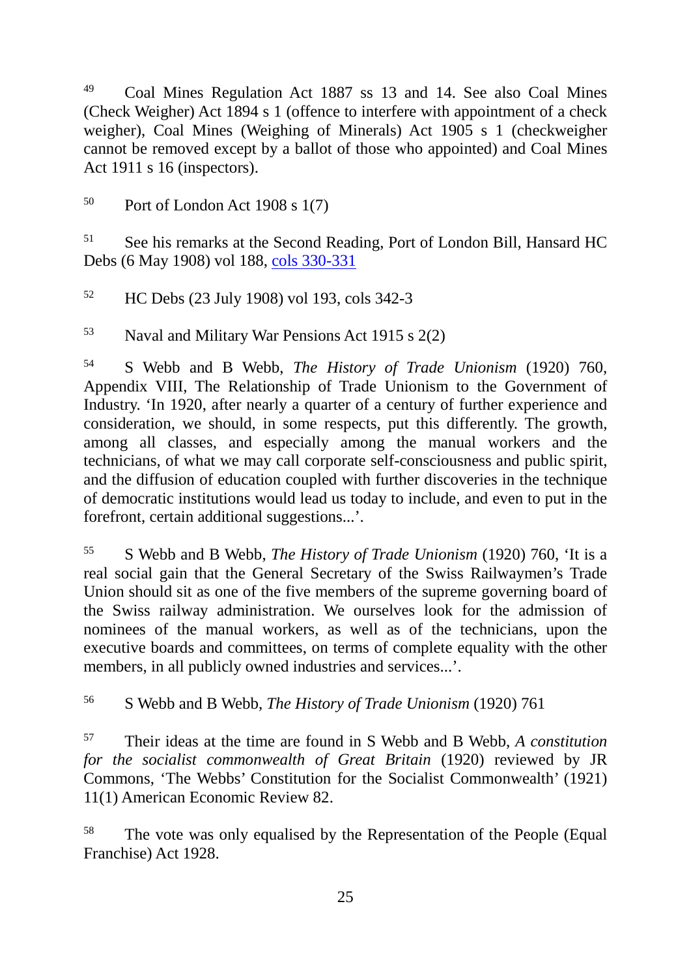<sup>49</sup> Coal Mines Regulation Act 1887 ss 13 and 14. See also Coal Mines (Check Weigher) Act 1894 s 1 (offence to interfere with appointment of a check weigher), Coal Mines (Weighing of Minerals) Act 1905 s 1 (checkweigher cannot be removed except by a ballot of those who appointed) and Coal Mines Act 1911 s 16 (inspectors).

 $50$  Port of London Act 1908 s 1(7)

<sup>51</sup> See his remarks at the Second Reading, Port of London Bill, Hansard HC Debs (6 May 1908) vol 188, [cols 330-331](http://hansard.millbanksystems.com/commons/1908/may/06/port-of-london-bill#column_330)

<sup>52</sup> HC Debs (23 July 1908) vol 193, cols 342-3

<sup>53</sup> Naval and Military War Pensions Act 1915 s 2(2)

<sup>54</sup> S Webb and B Webb, *The History of Trade Unionism* (1920) 760, Appendix VIII, The Relationship of Trade Unionism to the Government of Industry. 'In 1920, after nearly a quarter of a century of further experience and consideration, we should, in some respects, put this differently. The growth, among all classes, and especially among the manual workers and the technicians, of what we may call corporate self-consciousness and public spirit, and the diffusion of education coupled with further discoveries in the technique of democratic institutions would lead us today to include, and even to put in the forefront, certain additional suggestions...'.

<sup>55</sup> S Webb and B Webb, *The History of Trade Unionism* (1920) 760, 'It is a real social gain that the General Secretary of the Swiss Railwaymen's Trade Union should sit as one of the five members of the supreme governing board of the Swiss railway administration. We ourselves look for the admission of nominees of the manual workers, as well as of the technicians, upon the executive boards and committees, on terms of complete equality with the other members, in all publicly owned industries and services...'.

<sup>56</sup> S Webb and B Webb, *The History of Trade Unionism* (1920) 761

<sup>57</sup> Their ideas at the time are found in S Webb and B Webb, *A constitution for the socialist commonwealth of Great Britain* (1920) reviewed by JR Commons, 'The Webbs' Constitution for the Socialist Commonwealth' (1921) 11(1) American Economic Review 82.

<sup>58</sup> The vote was only equalised by the Representation of the People (Equal Franchise) Act 1928.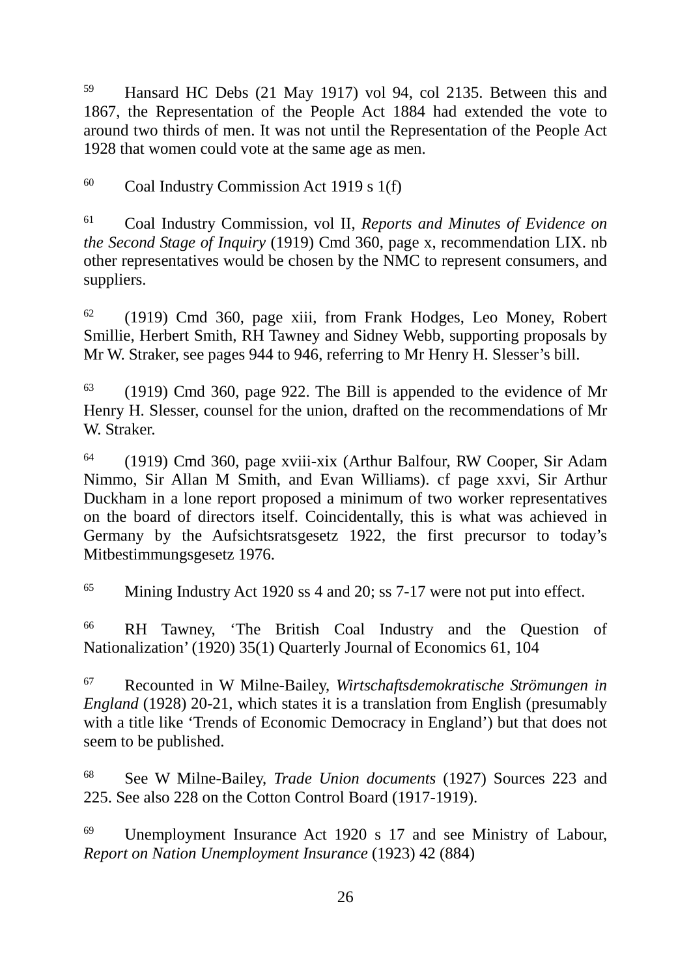<sup>59</sup> Hansard HC Debs (21 May 1917) vol 94, col 2135. Between this and 1867, the Representation of the People Act 1884 had extended the vote to around two thirds of men. It was not until the Representation of the People Act 1928 that women could vote at the same age as men.

<sup>60</sup> Coal Industry Commission Act 1919 s 1(f)

<sup>61</sup> Coal Industry Commission, vol II, *Reports and Minutes of Evidence on the Second Stage of Inquiry* (1919) Cmd 360, page x, recommendation LIX. nb other representatives would be chosen by the NMC to represent consumers, and suppliers.

<sup>62</sup> (1919) Cmd 360, page xiii, from Frank Hodges, Leo Money, Robert Smillie, Herbert Smith, RH Tawney and Sidney Webb, supporting proposals by Mr W. Straker, see pages 944 to 946, referring to Mr Henry H. Slesser's bill.

<sup>63</sup> (1919) Cmd 360, page 922. The Bill is appended to the evidence of Mr Henry H. Slesser, counsel for the union, drafted on the recommendations of Mr W. Straker.

<sup>64</sup> (1919) Cmd 360, page xviii-xix (Arthur Balfour, RW Cooper, Sir Adam Nimmo, Sir Allan M Smith, and Evan Williams). cf page xxvi, Sir Arthur Duckham in a lone report proposed a minimum of two worker representatives on the board of directors itself. Coincidentally, this is what was achieved in Germany by the Aufsichtsratsgesetz 1922, the first precursor to today's Mitbestimmungsgesetz 1976.

<sup>65</sup> Mining Industry Act 1920 ss 4 and 20; ss 7-17 were not put into effect.

<sup>66</sup> RH Tawney, 'The British Coal Industry and the Question of Nationalization' (1920) 35(1) Quarterly Journal of Economics 61, 104

<sup>67</sup> Recounted in W Milne-Bailey, *Wirtschaftsdemokratische Strömungen in England* (1928) 20-21, which states it is a translation from English (presumably with a title like 'Trends of Economic Democracy in England') but that does not seem to be published.

<sup>68</sup> See W Milne-Bailey, *Trade Union documents* (1927) Sources 223 and 225. See also 228 on the Cotton Control Board (1917-1919).

<sup>69</sup> Unemployment Insurance Act 1920 s 17 and see Ministry of Labour, *Report on Nation Unemployment Insurance* (1923) 42 (884)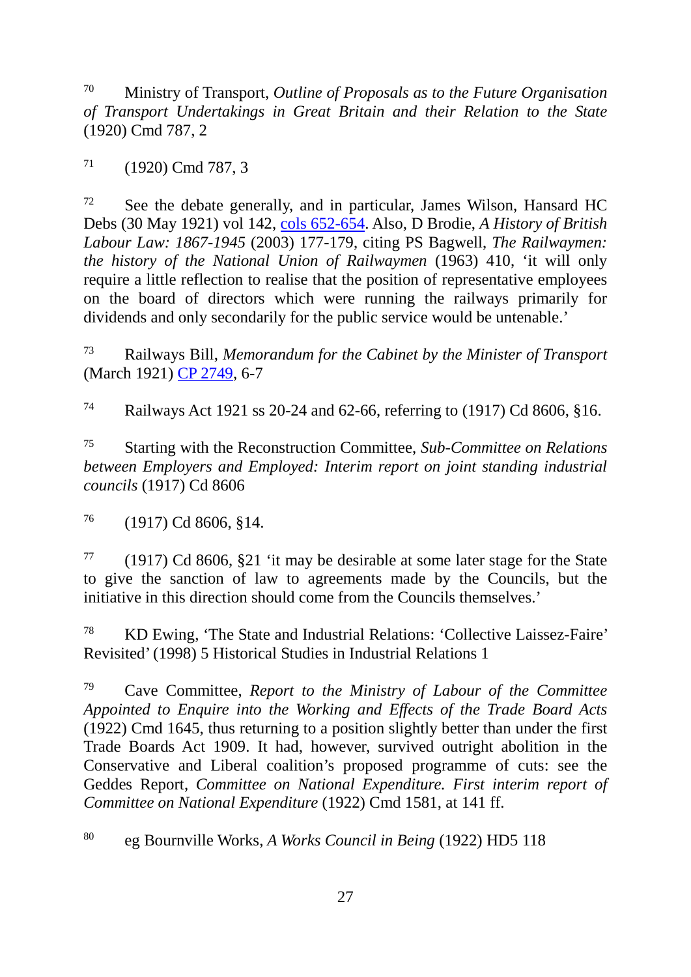<sup>70</sup> Ministry of Transport, *Outline of Proposals as to the Future Organisation of Transport Undertakings in Great Britain and their Relation to the State* (1920) Cmd 787, 2

 $71$  (1920) Cmd 787, 3

<sup>72</sup> See the debate generally, and in particular, James Wilson, Hansard HC Debs (30 May 1921) vol 142, [cols 652-654.](http://hansard.millbanksystems.com/commons/1921/may/30/railways-bill#column_652) Also, D Brodie, *A History of British Labour Law: 1867-1945* (2003) 177-179, citing PS Bagwell, *The Railwaymen: the history of the National Union of Railwaymen* (1963) 410, 'it will only require a little reflection to realise that the position of representative employees on the board of directors which were running the railways primarily for dividends and only secondarily for the public service would be untenable.'

<sup>73</sup> Railways Bill, *Memorandum for the Cabinet by the Minister of Transport*  (March 1921) [CP 2749,](http://filestore.nationalarchives.gov.uk/pdfs/small/cab-24-121-CP-2749.pdf) 6-7

<sup>74</sup> Railways Act 1921 ss 20-24 and 62-66, referring to (1917) Cd 8606, §16.

<sup>75</sup> Starting with the Reconstruction Committee, *Sub-Committee on Relations between Employers and Employed: Interim report on joint standing industrial councils* (1917) Cd 8606

 $^{76}$  (1917) Cd 8606, §14.

<sup>77</sup> (1917) Cd 8606, §21 'it may be desirable at some later stage for the State to give the sanction of law to agreements made by the Councils, but the initiative in this direction should come from the Councils themselves.'

<sup>78</sup> KD Ewing, 'The State and Industrial Relations: 'Collective Laissez-Faire' Revisited' (1998) 5 Historical Studies in Industrial Relations 1

<sup>79</sup> Cave Committee, *Report to the Ministry of Labour of the Committee Appointed to Enquire into the Working and Effects of the Trade Board Acts*  (1922) Cmd 1645, thus returning to a position slightly better than under the first Trade Boards Act 1909. It had, however, survived outright abolition in the Conservative and Liberal coalition's proposed programme of cuts: see the Geddes Report, *Committee on National Expenditure. First interim report of Committee on National Expenditure* (1922) Cmd 1581, at 141 ff.

<sup>80</sup> eg Bournville Works, *A Works Council in Being* (1922) HD5 118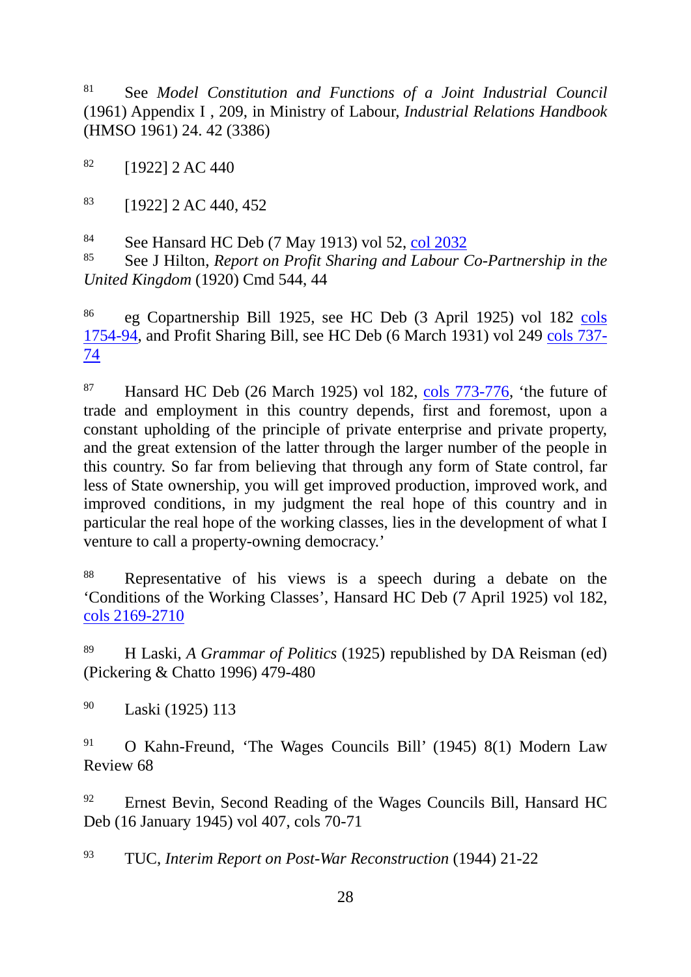<sup>81</sup> See *Model Constitution and Functions of a Joint Industrial Council* (1961) Appendix I , 209, in Ministry of Labour, *Industrial Relations Handbook*  (HMSO 1961) 24. 42 (3386)

 $82$  [1922] 2 AC 440

 $83$  [1922] 2 AC 440, 452

<sup>84</sup> See Hansard HC Deb (7 May 1913) vol 52, col [2032](http://hansard.millbanksystems.com/commons/1913/may/07/companies-co-partnership-bill#S5CV0052P0_19130507_HOC_192)

See J Hilton, *Report on Profit Sharing and Labour Co-Partnership in the United Kingdom* (1920) Cmd 544, 44

<sup>86</sup> eg Copartnership Bill 1925, see HC Deb (3 April 1925) vol 182 cols [1754-94,](http://hansard.millbanksystems.com/commons/1925/apr/03/co-partnership-bill#S5CV0182P0_19250403_HOC_110) and Profit Sharing Bill, see HC Deb (6 March 1931) vol 249 [cols 737-](http://hansard.millbanksystems.com/commons/1931/mar/06/profit-sharing-bill#S5CV0249P0_19310306_HOC_7) [74](http://hansard.millbanksystems.com/commons/1931/mar/06/profit-sharing-bill#S5CV0249P0_19310306_HOC_7) 

<sup>87</sup> Hansard HC Deb (26 March 1925) vol 182, [cols 773-776,](http://hansard.millbanksystems.com/commons/1925/mar/26/unemployment-1#S5CV0182P0_19250326_HOC_390) 'the future of trade and employment in this country depends, first and foremost, upon a constant upholding of the principle of private enterprise and private property, and the great extension of the latter through the larger number of the people in this country. So far from believing that through any form of State control, far less of State ownership, you will get improved production, improved work, and improved conditions, in my judgment the real hope of this country and in particular the real hope of the working classes, lies in the development of what I venture to call a property-owning democracy.'

<sup>88</sup> Representative of his views is a speech during a debate on the 'Conditions of the Working Classes', Hansard HC Deb (7 April 1925) vol 182, [cols 2169-2710](http://hansard.millbanksystems.com/commons/1925/apr/07/condition-of-the-working-classes#column_2169) 

<sup>89</sup> H Laski, *A Grammar of Politics* (1925) republished by DA Reisman (ed) (Pickering & Chatto 1996) 479-480

<sup>90</sup> Laski (1925) 113

<sup>91</sup> O Kahn-Freund, 'The Wages Councils Bill' (1945) 8(1) Modern Law Review 68

<sup>92</sup> Ernest Bevin, Second Reading of the Wages Councils Bill, Hansard HC Deb (16 January 1945) vol 407, cols 70-71

<sup>93</sup> TUC, *Interim Report on Post-War Reconstruction* (1944) 21-22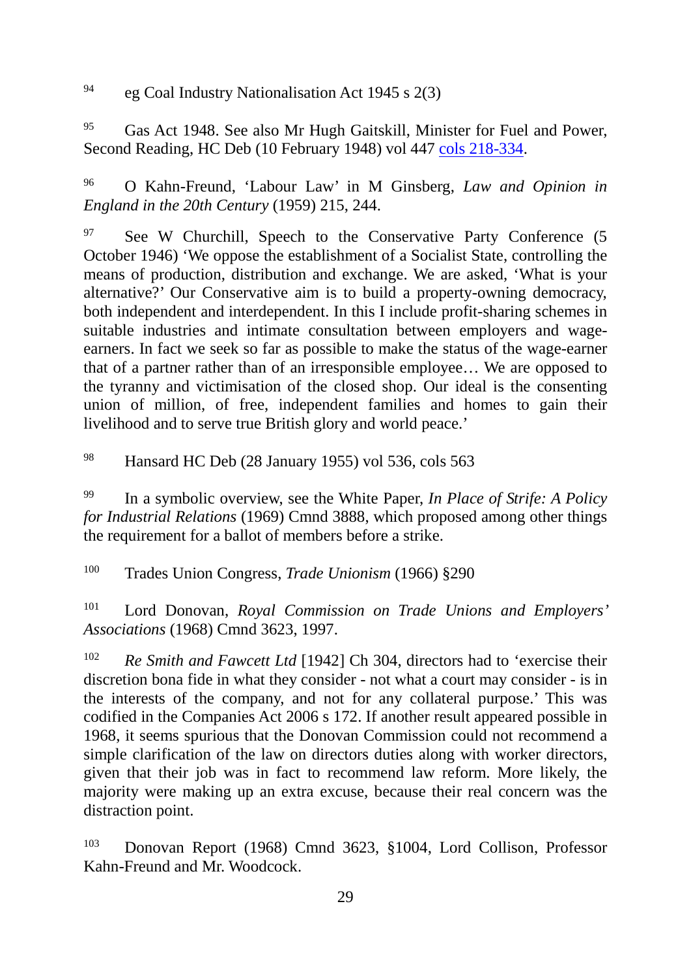<sup>94</sup> eg Coal Industry Nationalisation Act 1945 s 2(3)

<sup>95</sup> Gas Act 1948. See also Mr Hugh Gaitskill, Minister for Fuel and Power, Second Reading, HC Deb (10 February 1948) vol 447 [cols 218-334.](http://hansard.millbanksystems.com/commons/1948/feb/10/gas-bill#S5CV0447P0_19480210_HOC_287)

<sup>96</sup> O Kahn-Freund, 'Labour Law' in M Ginsberg, *Law and Opinion in England in the 20th Century* (1959) 215, 244.

 $97$  See W Churchill, Speech to the Conservative Party Conference (5) October 1946) 'We oppose the establishment of a Socialist State, controlling the means of production, distribution and exchange. We are asked, 'What is your alternative?' Our Conservative aim is to build a property-owning democracy, both independent and interdependent. In this I include profit-sharing schemes in suitable industries and intimate consultation between employers and wageearners. In fact we seek so far as possible to make the status of the wage-earner that of a partner rather than of an irresponsible employee… We are opposed to the tyranny and victimisation of the closed shop. Our ideal is the consenting union of million, of free, independent families and homes to gain their livelihood and to serve true British glory and world peace.'

<sup>98</sup> Hansard HC Deb (28 January 1955) vol 536, cols 563

<sup>99</sup> In a symbolic overview, see the White Paper, *In Place of Strife: A Policy for Industrial Relations* (1969) Cmnd 3888, which proposed among other things the requirement for a ballot of members before a strike.

<sup>100</sup> Trades Union Congress, *Trade Unionism* (1966) §290

<sup>101</sup> Lord Donovan, *Royal Commission on Trade Unions and Employers' Associations* (1968) Cmnd 3623, 1997.

<sup>102</sup> *Re Smith and Fawcett Ltd* [1942] Ch 304, directors had to 'exercise their discretion bona fide in what they consider - not what a court may consider - is in the interests of the company, and not for any collateral purpose.' This was codified in the Companies Act 2006 s 172. If another result appeared possible in 1968, it seems spurious that the Donovan Commission could not recommend a simple clarification of the law on directors duties along with worker directors, given that their job was in fact to recommend law reform. More likely, the majority were making up an extra excuse, because their real concern was the distraction point.

<sup>103</sup> Donovan Report (1968) Cmnd 3623, §1004, Lord Collison, Professor Kahn-Freund and Mr. Woodcock.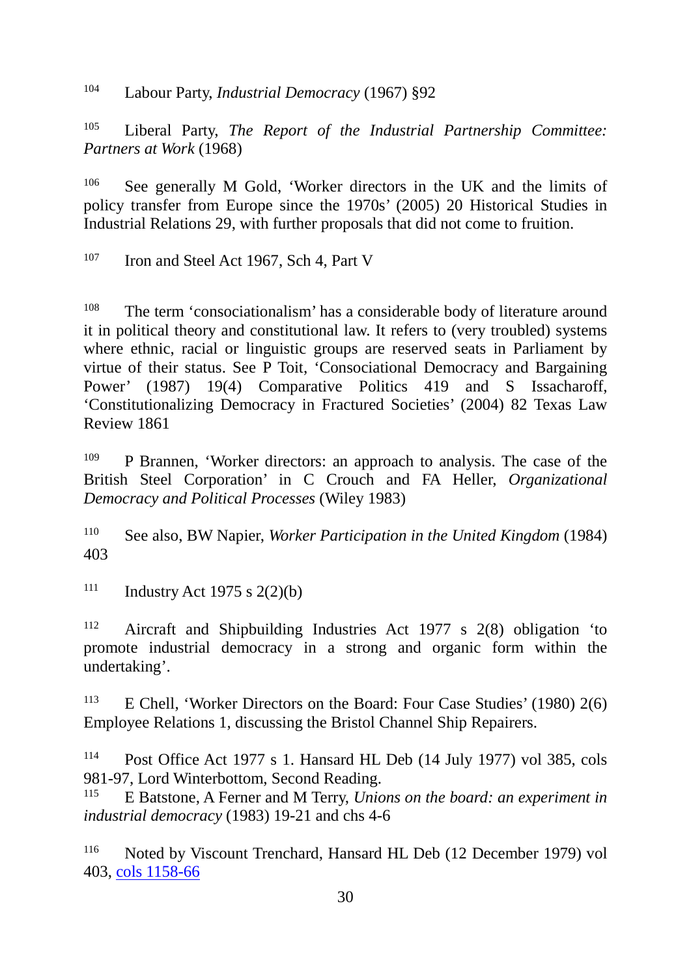<sup>104</sup> Labour Party, *Industrial Democracy* (1967) §92

<sup>105</sup> Liberal Party, *The Report of the Industrial Partnership Committee: Partners at Work* (1968)

<sup>106</sup> See generally M Gold, 'Worker directors in the UK and the limits of policy transfer from Europe since the 1970s' (2005) 20 Historical Studies in Industrial Relations 29, with further proposals that did not come to fruition.

<sup>107</sup> Iron and Steel Act 1967, Sch 4, Part V

<sup>108</sup> The term 'consociationalism' has a considerable body of literature around it in political theory and constitutional law. It refers to (very troubled) systems where ethnic, racial or linguistic groups are reserved seats in Parliament by virtue of their status. See P Toit, 'Consociational Democracy and Bargaining Power' (1987) 19(4) Comparative Politics 419 and S Issacharoff, 'Constitutionalizing Democracy in Fractured Societies' (2004) 82 Texas Law Review 1861

<sup>109</sup> P Brannen, 'Worker directors: an approach to analysis. The case of the British Steel Corporation' in C Crouch and FA Heller, *Organizational Democracy and Political Processes* (Wiley 1983)

<sup>110</sup> See also, BW Napier, *Worker Participation in the United Kingdom* (1984) 403

111 Industry Act 1975 s  $2(2)(b)$ 

<sup>112</sup> Aircraft and Shipbuilding Industries Act 1977 s 2(8) obligation 'to promote industrial democracy in a strong and organic form within the undertaking'.

<sup>113</sup> E Chell, 'Worker Directors on the Board: Four Case Studies' (1980) 2(6) Employee Relations 1, discussing the Bristol Channel Ship Repairers.

<sup>114</sup> Post Office Act 1977 s 1. Hansard HL Deb (14 July 1977) vol 385, cols 981-97, Lord Winterbottom, Second Reading.<br><sup>115</sup> E Batstone, A Ferner and M Terry *Unio* 

<sup>115</sup> E Batstone, A Ferner and M Terry, *Unions on the board: an experiment in industrial democracy* (1983) 19-21 and chs 4-6

<sup>116</sup> Noted by Viscount Trenchard, Hansard HL Deb (12 December 1979) vol 403, [cols 1158-66](http://hansard.millbanksystems.com/lords/1979/dec/12/post-office-industrial-democracy#S5LV0403P0_19791212_HOL_71)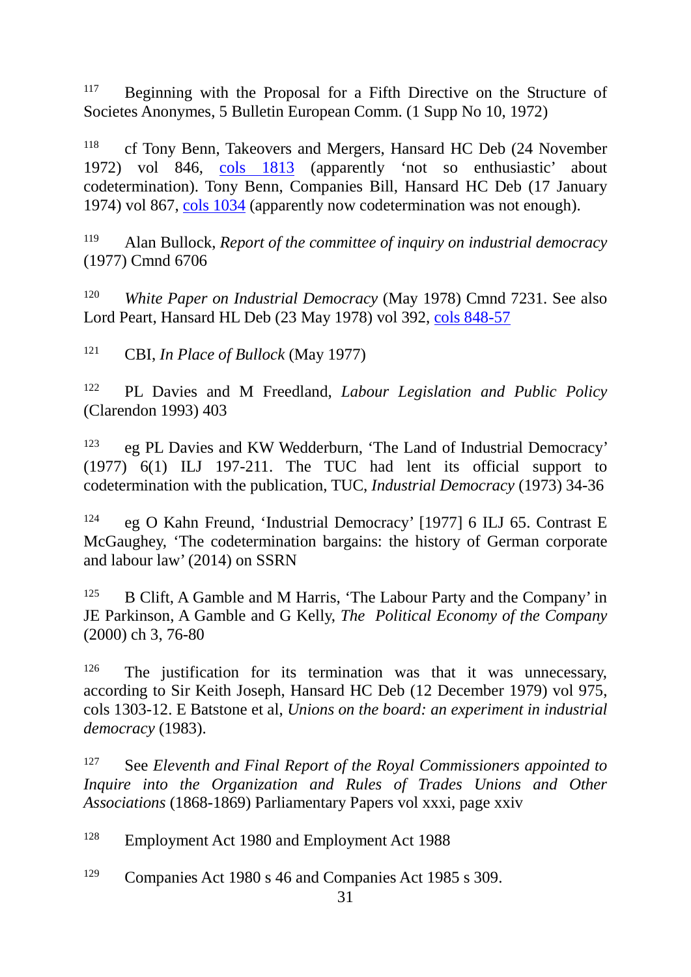<sup>117</sup> Beginning with the Proposal for a Fifth Directive on the Structure of Societes Anonymes, 5 Bulletin European Comm. (1 Supp No 10, 1972)

<sup>118</sup> cf Tony Benn, Takeovers and Mergers, Hansard HC Deb (24 November 1972) vol 846, [cols 1813](http://hansard.millbanksystems.com/commons/1972/nov/24/takeovers-and-mergers#S5CV0846P0_19721124_HOC_74) (apparently 'not so enthusiastic' about codetermination). Tony Benn, Companies Bill, Hansard HC Deb (17 January 1974) vol 867, [cols 1034](http://hansard.millbanksystems.com/commons/1974/jan/17/companies-bill#S5CV0867P0_19740117_HOC_362) (apparently now codetermination was not enough).

<sup>119</sup> Alan Bullock, *Report of the committee of inquiry on industrial democracy* (1977) Cmnd 6706

<sup>120</sup> *White Paper on Industrial Democracy* (May 1978) Cmnd 7231. See also Lord Peart, Hansard HL Deb (23 May 1978) vol 392, [cols 848-57](http://hansard.millbanksystems.com/lords/1978/may/23/industrial-democracy-1) 

121 CBI, *In Place of Bullock* (May 1977)

<sup>122</sup> PL Davies and M Freedland, *Labour Legislation and Public Policy*  (Clarendon 1993) 403

<sup>123</sup> eg PL Davies and KW Wedderburn, 'The Land of Industrial Democracy' (1977) 6(1) ILJ 197-211. The TUC had lent its official support to codetermination with the publication, TUC, *Industrial Democracy* (1973) 34-36

<sup>124</sup> eg O Kahn Freund, 'Industrial Democracy' [1977] 6 ILJ 65. Contrast E McGaughey, 'The codetermination bargains: the history of German corporate and labour law' (2014) on SSRN

<sup>125</sup> B Clift, A Gamble and M Harris, 'The Labour Party and the Company' in JE Parkinson, A Gamble and G Kelly, *The Political Economy of the Company* (2000) ch 3, 76-80

<sup>126</sup> The justification for its termination was that it was unnecessary, according to Sir Keith Joseph, Hansard HC Deb (12 December 1979) vol 975, cols 1303-12. E Batstone et al, *Unions on the board: an experiment in industrial democracy* (1983).

<sup>127</sup> See *Eleventh and Final Report of the Royal Commissioners appointed to Inquire into the Organization and Rules of Trades Unions and Other Associations* (1868-1869) Parliamentary Papers vol xxxi, page xxiv

<sup>128</sup> Employment Act 1980 and Employment Act 1988

<sup>129</sup> Companies Act 1980 s 46 and Companies Act 1985 s 309.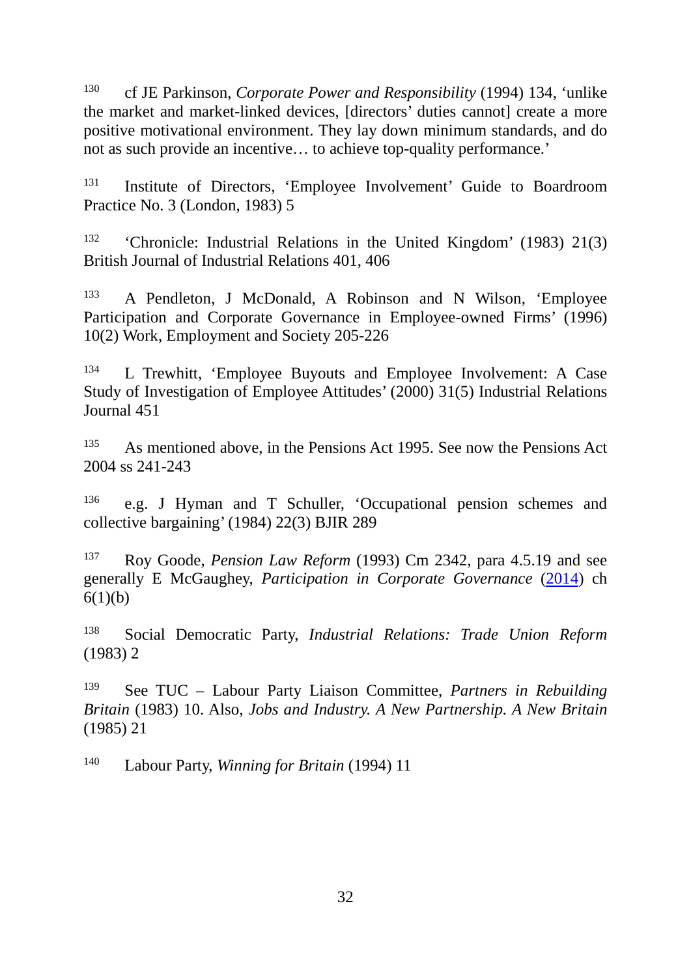<sup>130</sup> cf JE Parkinson, *Corporate Power and Responsibility* (1994) 134, 'unlike the market and market-linked devices, [directors' duties cannot] create a more positive motivational environment. They lay down minimum standards, and do not as such provide an incentive… to achieve top-quality performance.'

<sup>131</sup> Institute of Directors, 'Employee Involvement' Guide to Boardroom Practice No. 3 (London, 1983) 5

<sup>132</sup> 'Chronicle: Industrial Relations in the United Kingdom' (1983) 21(3) British Journal of Industrial Relations 401, 406

<sup>133</sup> A Pendleton, J McDonald, A Robinson and N Wilson, 'Employee Participation and Corporate Governance in Employee-owned Firms' (1996) 10(2) Work, Employment and Society 205-226

<sup>134</sup> L Trewhitt, 'Employee Buyouts and Employee Involvement: A Case Study of Investigation of Employee Attitudes' (2000) 31(5) Industrial Relations Journal 451

<sup>135</sup> As mentioned above, in the Pensions Act 1995. See now the Pensions Act 2004 ss 241-243

<sup>136</sup> e.g. J Hyman and T Schuller, 'Occupational pension schemes and collective bargaining' (1984) 22(3) BJIR 289

<sup>137</sup> Roy Goode, *Pension Law Reform* (1993) Cm 2342, para 4.5.19 and see generally E McGaughey, *Participation in Corporate Governance* [\(2014\)](http://papers.ssrn.com/sol3/papers.cfm?abstract_id=2593904) ch  $6(1)(b)$ 

<sup>138</sup> Social Democratic Party, *Industrial Relations: Trade Union Reform* (1983) 2

<sup>139</sup> See TUC – Labour Party Liaison Committee, *Partners in Rebuilding Britain* (1983) 10. Also, *Jobs and Industry. A New Partnership. A New Britain* (1985) 21

<sup>140</sup> Labour Party, *Winning for Britain* (1994) 11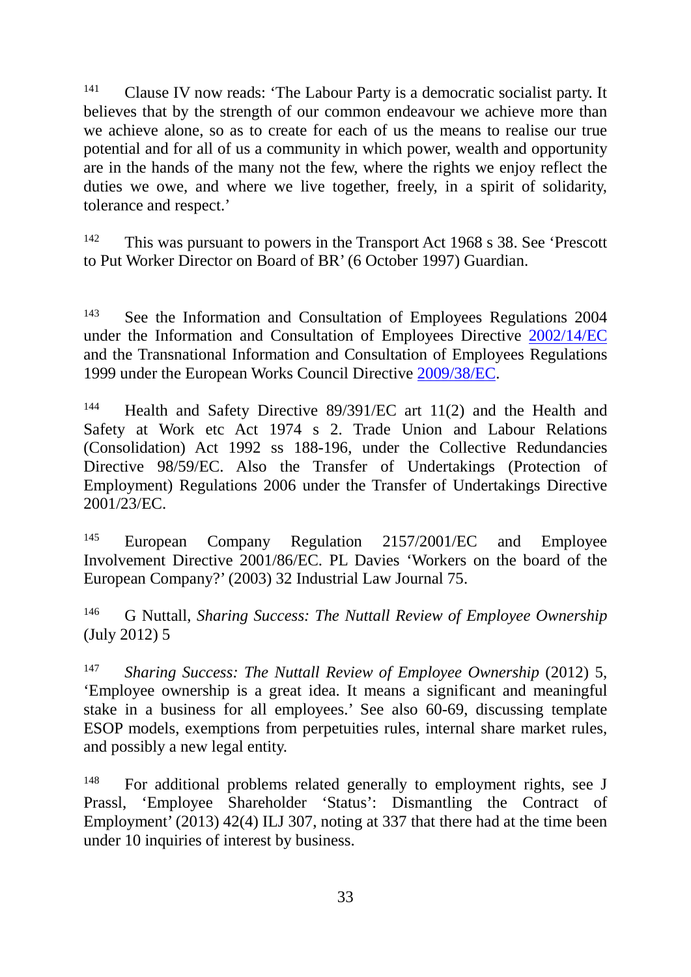<sup>141</sup> Clause IV now reads: 'The Labour Party is a democratic socialist party. It believes that by the strength of our common endeavour we achieve more than we achieve alone, so as to create for each of us the means to realise our true potential and for all of us a community in which power, wealth and opportunity are in the hands of the many not the few, where the rights we enjoy reflect the duties we owe, and where we live together, freely, in a spirit of solidarity, tolerance and respect.'

<sup>142</sup> This was pursuant to powers in the Transport Act 1968 s 38. See 'Prescott to Put Worker Director on Board of BR' (6 October 1997) Guardian.

<sup>143</sup> See the Information and Consultation of Employees Regulations 2004 under the Information and Consultation of Employees Directive [2002/14/EC](http://eur-lex.europa.eu/legal-content/EN/ALL/?uri=CELEX:32002L0014) and the Transnational Information and Consultation of Employees Regulations 1999 under the European Works Council Directive [2009/38/EC.](http://eur-lex.europa.eu/LexUriServ/LexUriServ.do?uri=OJ:L:2009:122:0028:0044:EN:PDF)

<sup>144</sup> Health and Safety Directive 89/391/EC art 11(2) and the Health and Safety at Work etc Act 1974 s 2. Trade Union and Labour Relations (Consolidation) Act 1992 ss 188-196, under the Collective Redundancies Directive 98/59/EC. Also the Transfer of Undertakings (Protection of Employment) Regulations 2006 under the Transfer of Undertakings Directive 2001/23/EC.

<sup>145</sup> European Company Regulation 2157/2001/EC and Employee Involvement Directive 2001/86/EC. PL Davies 'Workers on the board of the European Company?' (2003) 32 Industrial Law Journal 75.

<sup>146</sup> G Nuttall, *Sharing Success: The Nuttall Review of Employee Ownership* (July 2012) 5

<sup>147</sup> *Sharing Success: The Nuttall Review of Employee Ownership* (2012) 5, 'Employee ownership is a great idea. It means a significant and meaningful stake in a business for all employees.' See also 60-69, discussing template ESOP models, exemptions from perpetuities rules, internal share market rules, and possibly a new legal entity.

<sup>148</sup> For additional problems related generally to employment rights, see J Prassl, 'Employee Shareholder 'Status': Dismantling the Contract of Employment<sup>7</sup> (2013) 42(4) ILJ 307, noting at 337 that there had at the time been under 10 inquiries of interest by business.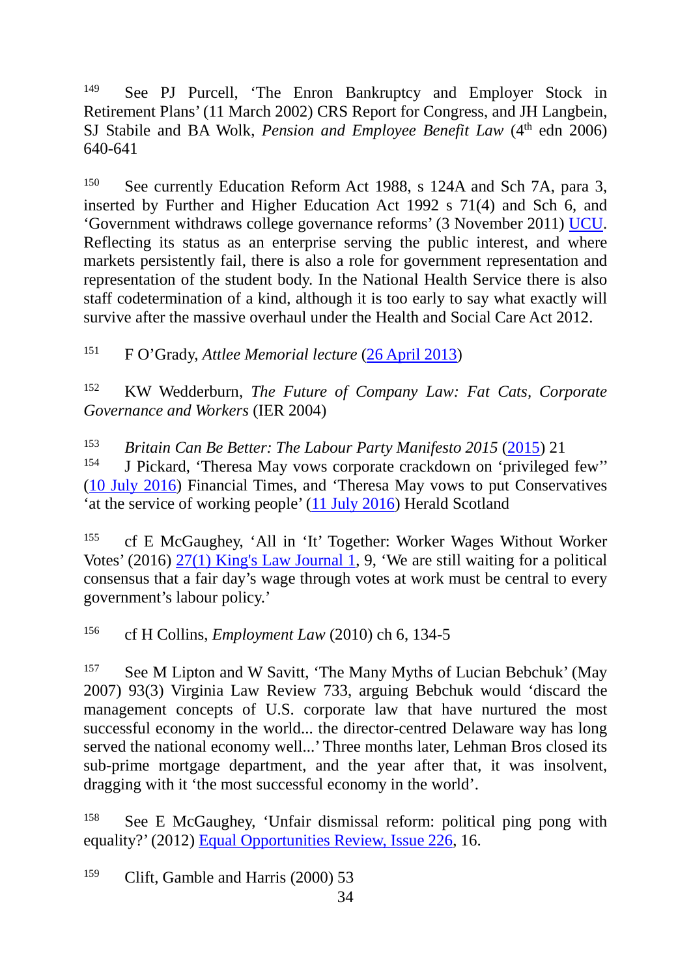<sup>149</sup> See PJ Purcell, 'The Enron Bankruptcy and Employer Stock in Retirement Plans' (11 March 2002) CRS Report for Congress, and JH Langbein, SJ Stabile and BA Wolk, *Pension and Employee Benefit Law* (4<sup>th</sup> edn 2006) 640-641

<sup>150</sup> See currently Education Reform Act 1988, s 124A and Sch 7A, para 3, inserted by Further and Higher Education Act 1992 s 71(4) and Sch 6, and 'Government withdraws college governance reforms' (3 November 2011) [UCU.](http://www.ucu.org.uk/index.cfm?articleid=5808) Reflecting its status as an enterprise serving the public interest, and where markets persistently fail, there is also a role for government representation and representation of the student body. In the National Health Service there is also staff codetermination of a kind, although it is too early to say what exactly will survive after the massive overhaul under the Health and Social Care Act 2012.

<sup>151</sup> F O'Grady, *Attlee Memorial lecture* [\(26 April 2013\)](http://www.tuc.org.uk/union/tuc-22151-f0.cfm)

<sup>152</sup> KW Wedderburn, *The Future of Company Law: Fat Cats, Corporate Governance and Workers* (IER 2004)

<sup>153</sup> *Britain Can Be Better: The Labour Party Manifesto 2015 [\(2015\)](http://www.labour.org.uk/page/-/BritainCanBeBetter-TheLabourPartyManifesto2015.pdf)* 21<br><sup>154</sup> **I Bickerd, 'Therese Mey you's corporete creekdown on 'privileged** 

<sup>154</sup> J Pickard, 'Theresa May vows corporate crackdown on 'privileged few'' [\(10 July 2016\)](https://next.ft.com/content/d80f606e-46b1-11e6-8d68-72e9211e86ab) Financial Times, and 'Theresa May vows to put Conservatives 'at the service of working people' [\(11 July 2016\)](http://www.heraldscotland.com/news/14610996.Theresa_May_vows_to_put_Conservatives__at_the_service_of_working_people_/) Herald Scotland

<sup>155</sup> cf E McGaughey, 'All in 'It' Together: Worker Wages Without Worker Votes' (2016) [27\(1\) King's Law Journal 1,](http://papers.ssrn.com/sol3/papers.cfm?abstract_id=2729150) 9, 'We are still waiting for a political consensus that a fair day's wage through votes at work must be central to every government's labour policy.'

<sup>156</sup> cf H Collins, *Employment Law* (2010) ch 6, 134-5

<sup>157</sup> See M Lipton and W Savitt, 'The Many Myths of Lucian Bebchuk' (May 2007) 93(3) Virginia Law Review 733, arguing Bebchuk would 'discard the management concepts of U.S. corporate law that have nurtured the most successful economy in the world... the director-centred Delaware way has long served the national economy well...' Three months later, Lehman Bros closed its sub-prime mortgage department, and the year after that, it was insolvent, dragging with it 'the most successful economy in the world'.

<sup>158</sup> See E McGaughey, 'Unfair dismissal reform: political ping pong with equality?' (2012) [Equal Opportunities Review, Issue 226,](http://papers.ssrn.com/sol3/papers.cfm?abstract_id=2014699) 16.

<sup>159</sup> Clift, Gamble and Harris (2000) 53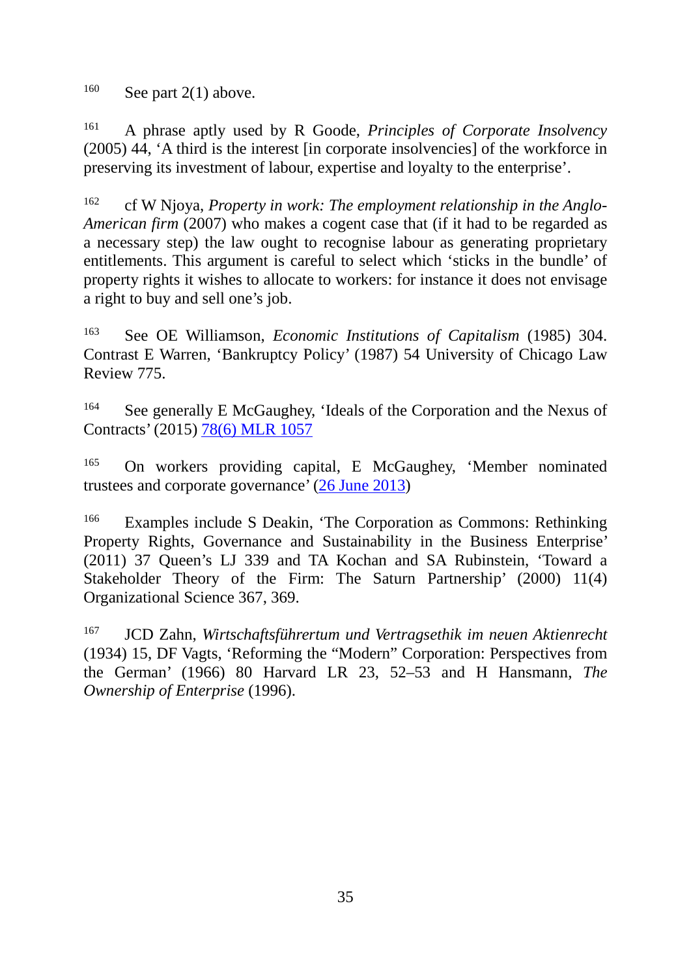$160$  See part 2(1) above.

<sup>161</sup> A phrase aptly used by R Goode, *Principles of Corporate Insolvency*  (2005) 44, 'A third is the interest [in corporate insolvencies] of the workforce in preserving its investment of labour, expertise and loyalty to the enterprise'.

<sup>162</sup> cf W Njoya, *Property in work: The employment relationship in the Anglo-American firm* (2007) who makes a cogent case that (if it had to be regarded as a necessary step) the law ought to recognise labour as generating proprietary entitlements. This argument is careful to select which 'sticks in the bundle' of property rights it wishes to allocate to workers: for instance it does not envisage a right to buy and sell one's job.

<sup>163</sup> See OE Williamson, *Economic Institutions of Capitalism* (1985) 304. Contrast E Warren, 'Bankruptcy Policy' (1987) 54 University of Chicago Law Review 775.

<sup>164</sup> See generally E McGaughey, 'Ideals of the Corporation and the Nexus of Contracts' (2015) [78\(6\) MLR 1057](http://papers.ssrn.com/sol3/papers.cfm?abstract_id=2699543) 

<sup>165</sup> On workers providing capital, E McGaughey, 'Member nominated trustees and corporate governance' [\(26 June 2013\)](http://papers.ssrn.com/sol3/papers.cfm?abstract_id=2569381)

<sup>166</sup> Examples include S Deakin, 'The Corporation as Commons: Rethinking Property Rights, Governance and Sustainability in the Business Enterprise' (2011) 37 Queen's LJ 339 and TA Kochan and SA Rubinstein, 'Toward a Stakeholder Theory of the Firm: The Saturn Partnership' (2000) 11(4) Organizational Science 367, 369.

<sup>167</sup> JCD Zahn, *Wirtschaftsführertum und Vertragsethik im neuen Aktienrecht* (1934) 15, DF Vagts, 'Reforming the "Modern" Corporation: Perspectives from the German' (1966) 80 Harvard LR 23, 52–53 and H Hansmann, *The Ownership of Enterprise* (1996).